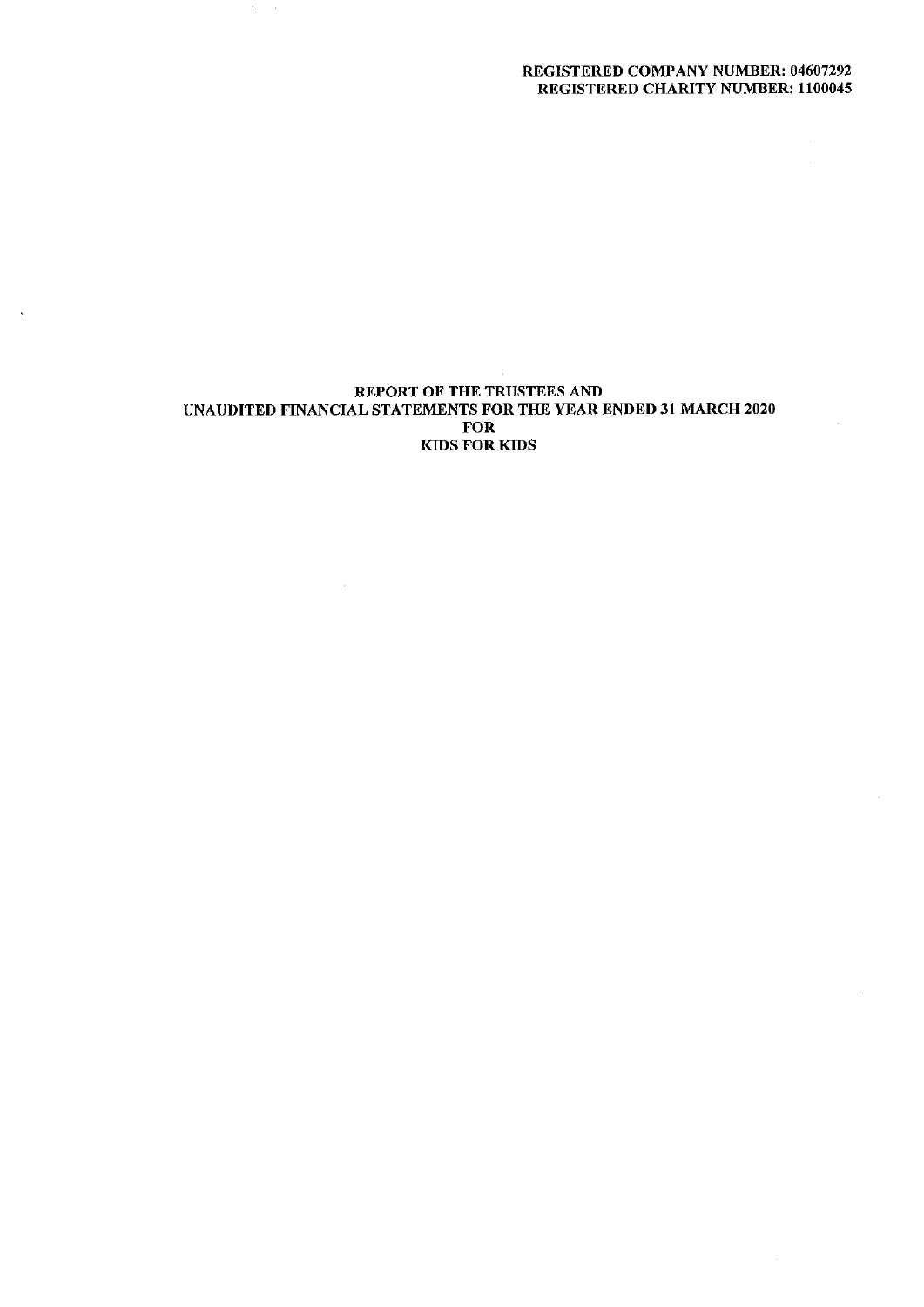# REGISTERED COMPANY NUMBER: 04607292 REGISTERED CHARITY NUMBER: 1100045

 $\bar{z}$ 

## REPORT OF THE TRUSTEES AND UNAUDITED FINANCIAL STATEMENTS FOR THE YEAR ENDED 31 MARCH 2020 FOR KIDS FOR KIDS

 $\mathcal{A}$ 

 $\mathcal{F}^{\mathcal{G}}_{\mathcal{G}}$  ,  $\mathcal{F}^{\mathcal{G}}_{\mathcal{G}}$ 

 $\ddot{\phantom{1}}$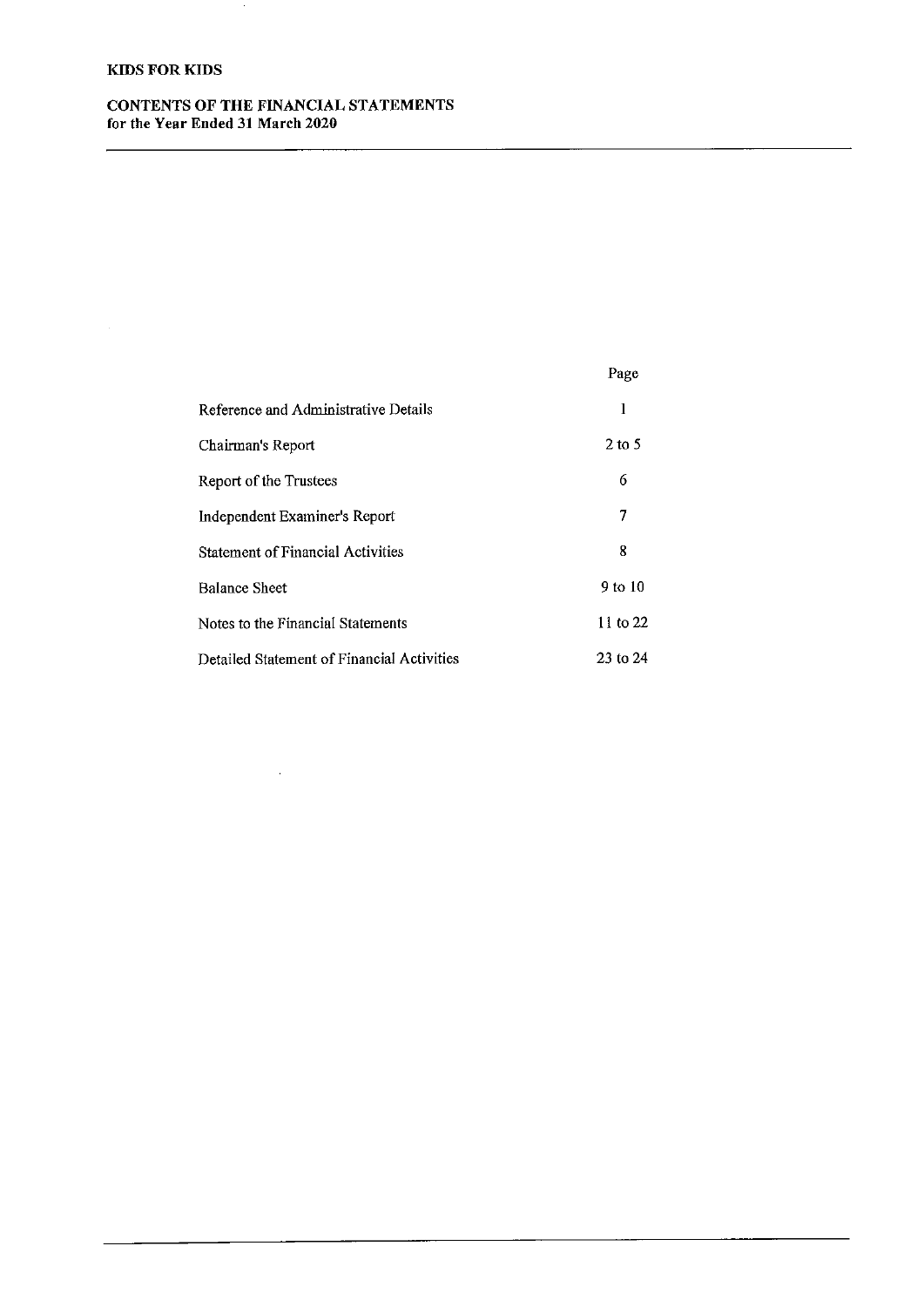# KIDS FOR KIDS

CONTENTS OF THE FINANCIAL STATEMENTS for the Year Ended 31 March 2020

 $\sim 10^{11}$ 

 $\sim$ 

|                                            | Page        |
|--------------------------------------------|-------------|
| Reference and Administrative Details       | 1           |
| Chairman's Report                          | $2$ to 5    |
| Report of the Trustees                     | 6           |
| Independent Examiner's Report              | 7           |
| <b>Statement of Financial Activities</b>   | 8           |
| <b>Balance Sheet</b>                       | $9$ to $10$ |
| Notes to the Financial Statements          | 11 to 22    |
| Detailed Statement of Financial Activities | 23 to 24    |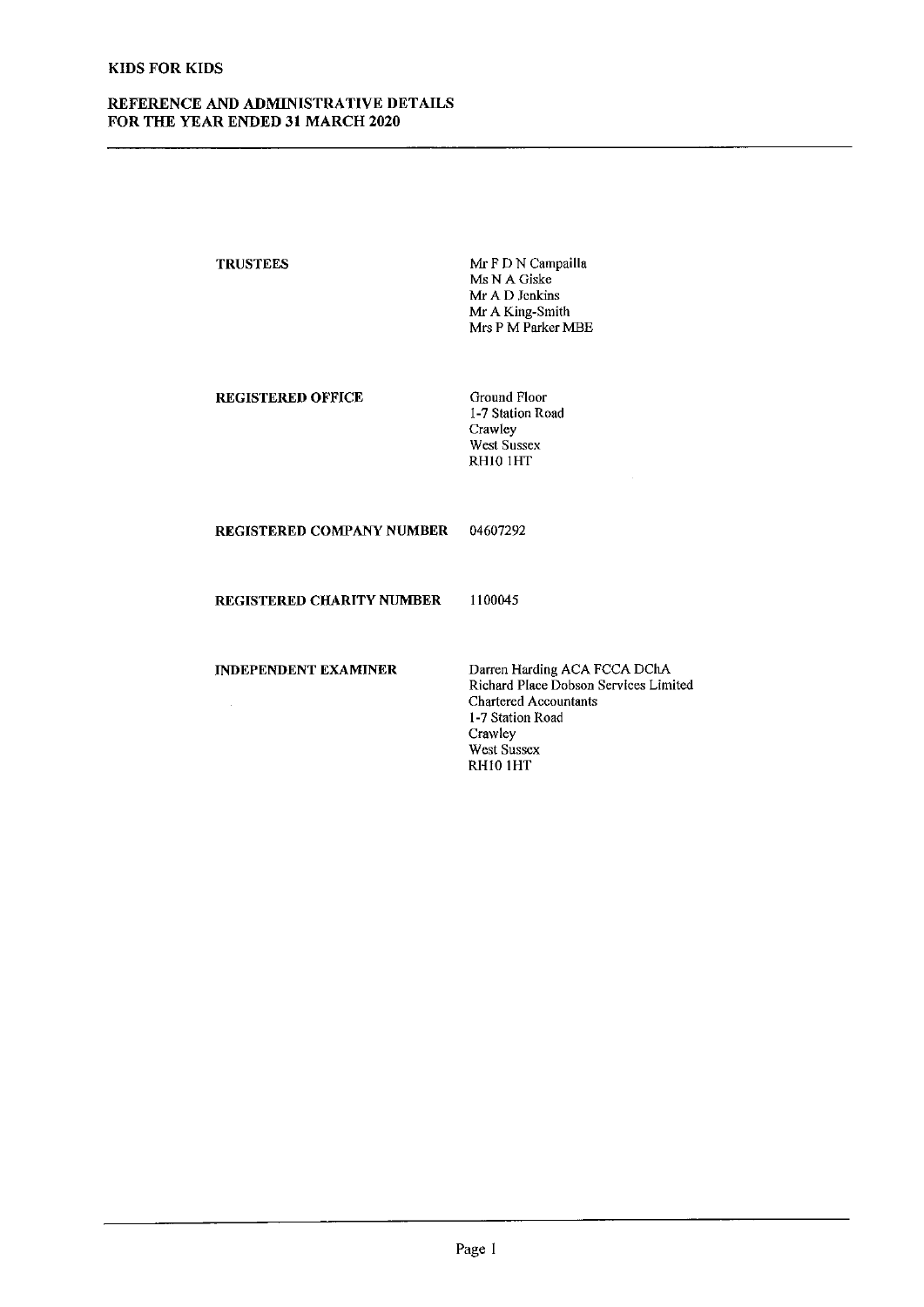# REFERENCE AND ADMINISTRATIVE DETAILS FOR THE YEAR ENDED 31 MARCH 2020

| <b>TRUSTEES</b>                  | Mr F D N Campailla<br>Ms N A Giske<br>Mr A D Jenkins<br>Mr A King-Smith<br>Mrs P M Parker MBE                                                                         |
|----------------------------------|-----------------------------------------------------------------------------------------------------------------------------------------------------------------------|
| <b>REGISTERED OFFICE</b>         | Ground Floor<br>1-7 Station Road<br>Crawley<br>West Sussex<br>RH10 1HT                                                                                                |
| <b>REGISTERED COMPANY NUMBER</b> | 04607292                                                                                                                                                              |
| <b>REGISTERED CHARITY NUMBER</b> | 1100045                                                                                                                                                               |
| <b>INDEPENDENT EXAMINER</b>      | Darren Harding ACA FCCA DChA<br>Richard Place Dobson Services Limite<br><b>Chartered Accountants</b><br>1-7 Station Road<br>Crawley<br><b>West Sussex</b><br>RH10 1HT |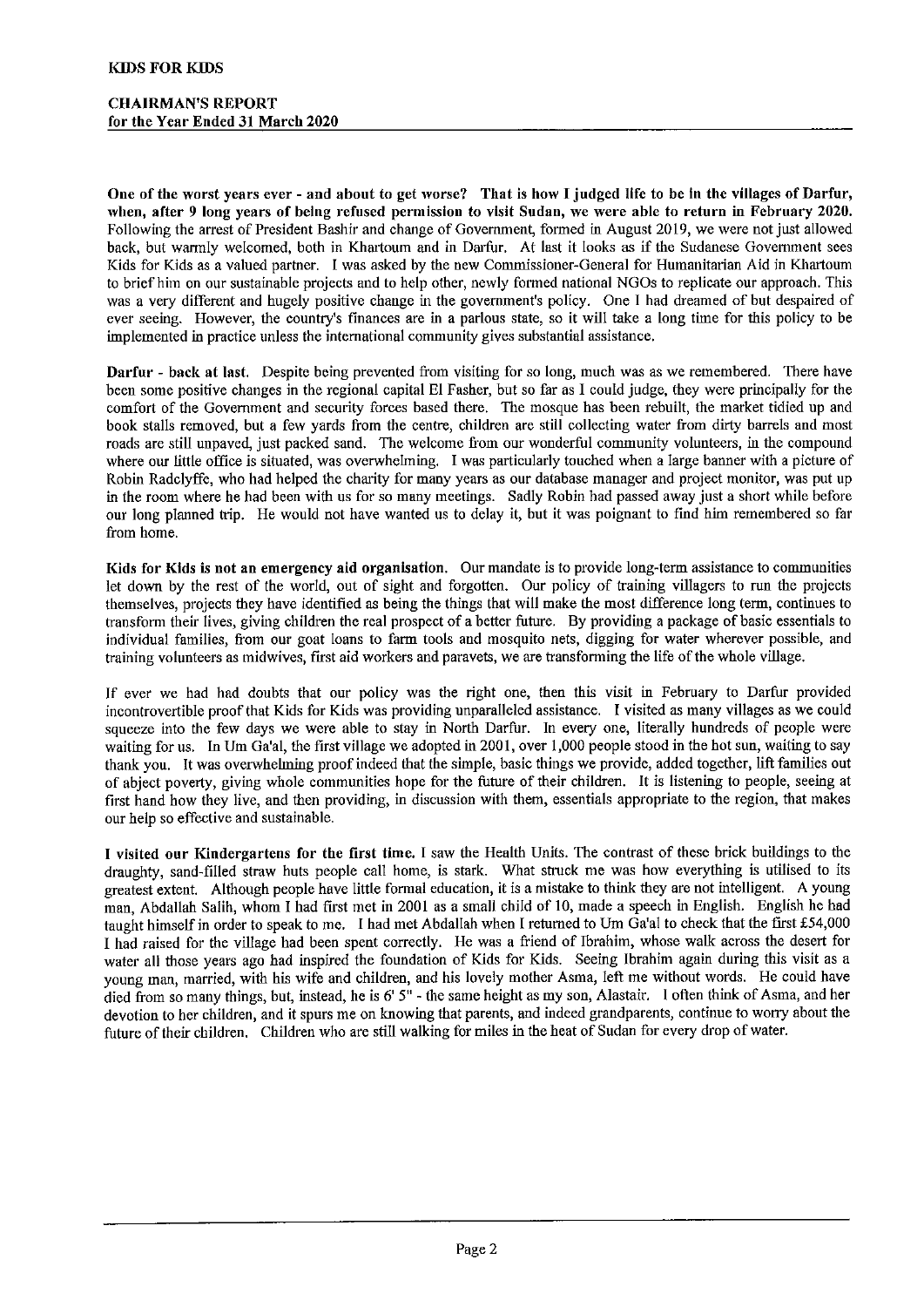One of the worst years ever - and about to get worse? That is how I judged life to be in the villages of Darfur, ivhen, after 9 long years of being refused permission to visit Sudan, we were able to return in February 2020. Following the arrest of President Bashir and change of Government, formed in August 2019, we were not just allowed back, but warmly welcomed, both in Khartoum and in Darfur. At last it looks as if the Sudanese Government sees Kids for Kids as a valued partner. I was asked by the new Commissioner-General for Humanitarian Aid in Khartoum to brief him on our sustainable projects and to help other, newly formed national NGOs to replicate our approach. This was a very different and hugely positive change in the government's policy. One I had dreamed of but despaired of ever seeing. However, the country's finances are in a parlous state, so it will take a long time for this policy to be implemented in practice unless the international community gives substantial assistance.

Darfur - back at last. Despite being prevented from visiting for so long, much was as we remembered. There have been some positive changes in the regional capital El Fasher, but so far as I could judge, they were principally for the comfort of the Government and security forces based there. The mosque has been rebuilt, the market tidied up and book stalls removed, but a few yards from the centre, children are still collecting water from dirty barrels and most roads are still unpaved, just packed sand. The welcome fiom our wonderful community volunteers, in the compound where our little office is situated, was overwhelming. I was particularly touched when a large banner with a picture of Robin Radclyffe, who had helped the charity for many years as our database manager and project monitor, was put up in the room where he had been with us for so many meetings. Sadly Robin had passed away just a short while before our long planned trip. He would not have wanted us to delay it, but it was poignant to find him remembered so far from home.

Kids for Kids is not an emergency aid organisation. Our mandate is to provide long-term assistance to communities let dovm by the rest of the world, out of sight and forgotten. Our policy of training villagers to run the projects themselves, projects they have identified as being the things that will make the most difference long term, continues to transform their lives, giving children the real prospect of a better future. By providing a package of basic essentials to individual families, fiom our goat loans to farm tools and mosquito nets, digging for water wherever possible, and training volunteers as midwives, first aid workers and paravets, we are transforming the life of the whole village.

If ever we had had doubts that our policy was the right one, then this visit in February to Darfur provided incontrovertible proof that Kids for Kids was providing unparalleled assistance. I visited as many villages as we could squeeze into the few days we were able to stay in North Darfur. In every one, literally hundreds of people were waiting for us. In Um Ga'al, the first village we adopted in 2001, over 1,000 people stood in the hot sun, waiting to say thank you. It was overwhelming proof indeed that the simple, basic things we provide, added together, lift families out of abject poverty, giving whole communities hope for the future of their children. It is listening to people, seeing at first hand how they live, and then providing, in discussion with them, essentials appropriate to the region, that makes our help so effective and sustainable.

I visited our Kindergartens for the first time. I saw the Health Units. The contrast of these brick buildings to the draughty, sand-filled straw huts people call home, is stark. What struck me was how everything is utilised to its greatest extent. Although people have little formal education, it is a mistake to think they are not intelligent. A young man, Abdallah Salih, whom I had first met in 2001 as a small child of 10, made a speech in English. English he had taught himself in order to speak to me. I had met Abdallah when I returned to Um Ga'al to check that the first £54,000 I had raised for the village had been spent correctly. He was a fiiend of Ibrahim, whose walk across the desert for water all those years ago had inspired the foundation of Kids for Kids. Seeing Ibrahim again during this visit as a young man, married, with his wife and children, and his lovely mother Asma, left me without words. He could have died from so many things, but, instead, he is 6' 5" - the same height as my son, Alastair. I often think of Asma, and her devotion to her children, and it spurs me on knowing that parents, and indeed grandparents, continue to worry about the future of their children. Children who are still walking for miles in the heat of Sudan for every drop of water.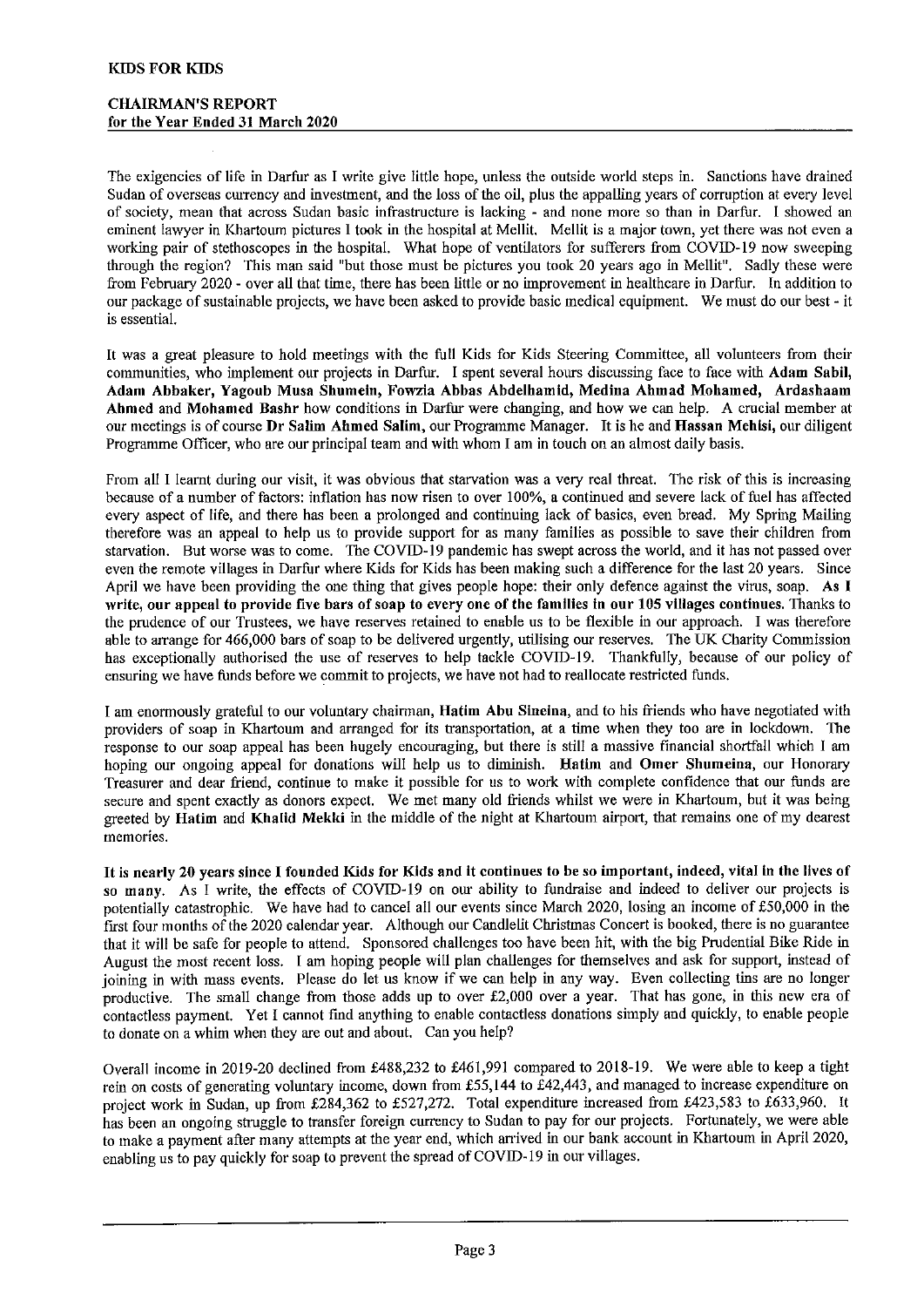The exigencies of life in Darfur as I write give little hope, unless the outside world steps in. Sanctions have drained Sudan of overseas currency and investment, and the loss of the oil, plus the appalling years of corruption at every level of society, mean that across Sudan basic infrastructure is lacking - and none more so than in Darfur. I showed an eminent lawyer in Khartoum pictures I took in the hospital at Mellit. Mellit is a major town, yet there was not even a working pair of stethoscopes in the hospital. What hope of ventilators for sufferers from COVID-19 now sweeping through the region2 This man said "but those must be pictures you took 20 years ago in Mellit". Sadly these were from February 2020 - over all that time, there has been little or no improvement in healthcare in Darfur. In addition to our package of sustainable projects, we have been asked to provide basic medical equipment. We must do our best - it is essential.

It was a great pleasure to hold meetings with the full Kids for Kids Steering Committee, all volunteers from their communities, who implement our projects in Darfur. I spent several hours discussing face to face with Adam Sabil, Adam Abbaker, Yagoub Muss Shumeln, Fowzia Abbas Abdelhamid, Medius Ahmad Mohamed, Ardashaam Ahmed and Mohamed Bashr how conditions in Darfur were changing, and how we can help. A crucial member at our meetings is of course Dr Salim Ahmed Salim, our Programme Manager. It is he and Hassan Mehisi, our diligent Programme Officer, who are our principal team and with whom I am in touch on an almost daily basis.

From all I learnt during our visit, it was obvious that starvation was a very real threat. The risk of this is increasing because of a number of factors: inflation has now risen to over 100%, a continued and severe lack of fuel has affected every aspect of life, and there has been a prolonged and continuing lack of basics, even bread. My Spring Mailing therefore was an appeal to help us to provide support for as many families as possible to save their children from starvation. But worse was to come. The COVID-19 pandemic has swept across the world, and it has not passed over even the remote villages in Darfur where Kids for Kids has been making such a difference for the last 20 years. Since April we have been providing the one thing that gives people hope: their only defence against the virus, soap. As I write, our appeal to provide five bars of soap to every one of the families in our 105 villages continues. Thanks to the prudence of our Trustees, we have reserves retained to enable us to be flexible in our approach. I was therefore able to arrange for 466,000 bars of soap to be delivered urgently, utilising our reserves. The UK Charity Commission has exceptionally authorised the use of reserves to help tackle COVID-19. Thankfully, because of our policy of ensuring we have funds before we commit to projects, we have not had to reallocate restricted funds.

I am enormously grateful to our voluntary chairman, Hatim Abu Sineina, and to his firiends who have negotiated with providers of soap in Khartoum and arranged for its transportation, at a time when they too are in lockdown. The response to our soap appeal has been hugely encouraging, but there is still a massive financial shortfall which I am hoping our ongoing appeal for donations will help us to diminish. Hatim and Omer Shumeina, our Honorary Treasurer and dear fiend, continue to make it possible for us to work with complete confidence that our funds are secure and spent exactly as donors expect. We met many old fiiends whilst we were in Khartoum, but it was being greeted by Hatim and Khalid Mekki in the middle of the night at Khartoum airport, that remains one of my dearest memories.

It is nearly 20 years since I founded Kids for Kids and it continues to be so important, indeed, vital in the lives of so many. As I write, the effects of COVID-19 on our ability to fundraise and indeed to deliver our projects is potentially catastrophic. We have had to cancel all our events since March 2020, losing an income of f50,000 in the first four months of the 2020 calendar year. Although our Candlelit Christmas Concert is booked, there is no guarantee that it will be safe for people to attend. Sponsored challenges too have been hit, with the big Prudential Bike Ride in August the most recent loss. <sup>I</sup> am hoping people wifi plan challenges for themselves and ask for support, instead of joining in with mass events. Please do let us know if we can help in any way. Even collecting tins are no longer productive. The small change from those adds up to over £2,000 over a year. That has gone, in this new era of contactless payment. Yet I cannot find anything to enable contactless donations simply and quickly, to enable people to donate on a whim when they are out and about. Can you help'/

Overall income in 2019-20 declined from £488,232 to £461,991 compared to 2018-19. We were able to keep a tight rein on costs of generating voluntary income, down from £55,144 to £42,443, and managed to increase expenditure on project work in Sudan, up from £284,362 to £527,272. Total expenditure increased from £423,583 to £633,960. It has been an ongoing struggle to transfer foreign currency to Sudan to pay for our projects. Fortunately, we were able to make a payment after many attempts at the year end, which arrived in our bank account in Khartoum in April 2020, enabling us to pay quickly for soap to prevent the spread of COVID-19 in our villages.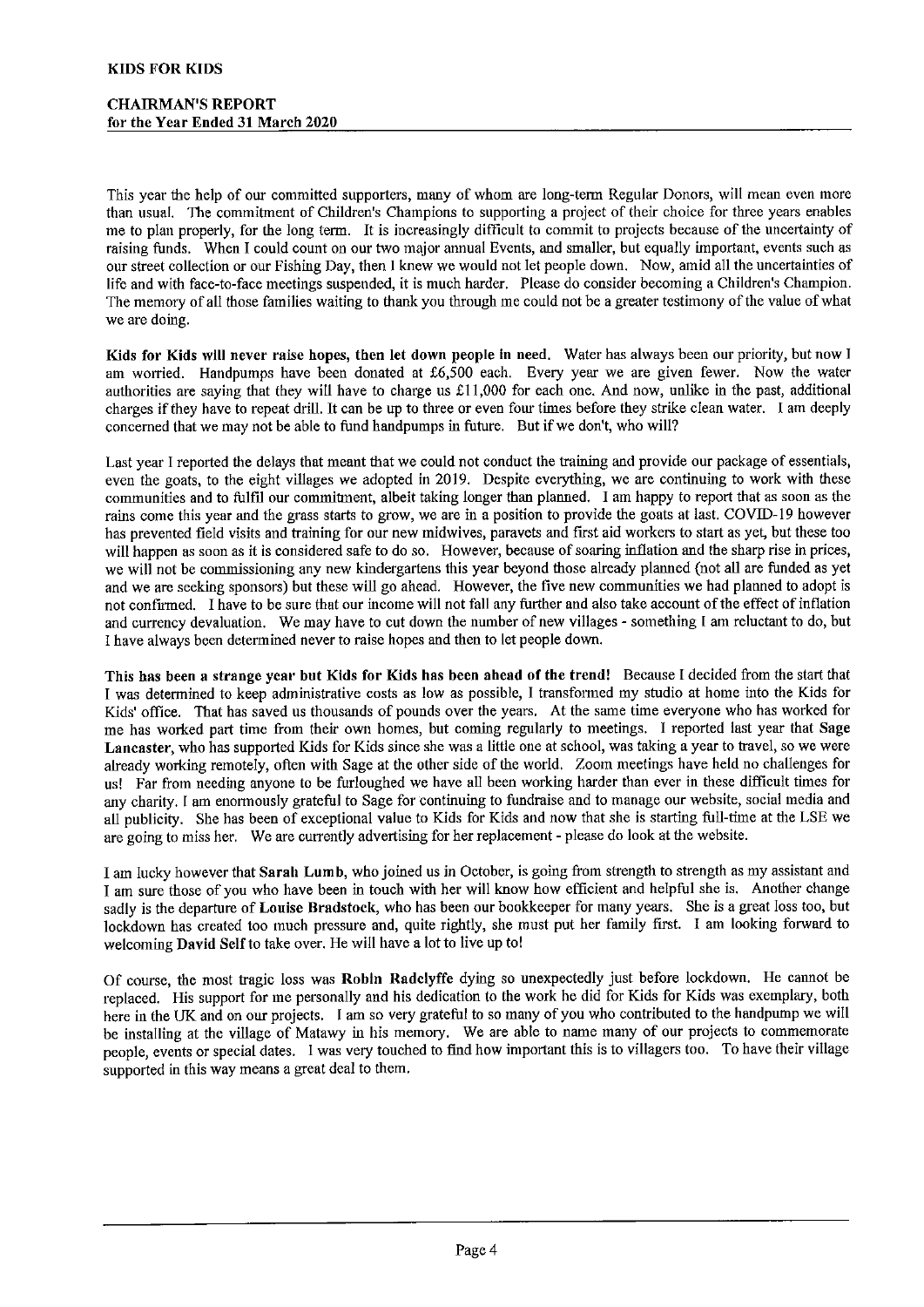This year the help of our committed supporters, many of whom are long-term Regular Donors, will mean even more than usual. The commitment of Children's Champions to supporting a project of their choice for three years enables me to plan properly, for the long term. It is increasingly difficult to commit to projects because of the uncertainty of raising funds. When I could count on our two major annual Events, and smaller, but equally important, events such as our street collection or our Fishing Day, then I knew we would not let people down. Now, amid all the uncertainties of life and with face-to-face meetings suspended, it is much harder. Please do consider becoming a Children's Champion. The memory of all those families waiting to thank you through me could not be a greater testimony of the value of what we are doing.

Kids for Kids will never raise hopes, then let down people in need. Water has always been our priority, but now I am worried. Handpumps have been donated at f6,500 each. Every year we are given fewer. Now the water authorities are saying that they will have to charge us  $\pounds$ 11,000 for each one. And now, unlike in the past, additional charges if they have to repeat drill. It can be up to three or even four times before they strike clean water. I am deeply concerned that we may not be able to fund handpumps in future. But if we don't, who will?

Last year I reported the delays that meant that we could not conduct the training and provide our package of essentials, even the goats, to the eight villages we adopted in 2019. Despite everything, we are continuing to work with these communities and to fulfil our commitment, albeit taking longer than planned, I am happy to report that as soon as the rains come this year and the grass starts to grow, we are in a position to provide the goats at last. COVID-19 however has prevented field visits and training for our new midwives, paravets and first aid workers to start as yet, but these too will happen as soon as it is considered safe to do so. However, because of soaring inflation and the sharp rise in prices, we will not be commissioning any new kindergartens this year beyond those already planned (not all are funded as yet and we are seeking sponsors) but these will go ahead. However, the five new communities we had planned to adopt is not confirmed. I have to be sure that our income will not fall any further and also take account of the effect of inflation and currency devaluation. We may have to cut down the number of new villages - something <sup>I</sup> am reluctant to do, but I have always been determined never to raise hopes and then to let people down.

This has been a strange year but Kids for Kids has been ahead of the trend! Because I decided from the start that I was determined to keep administrative costs as low as possible, I transfoimed my studio at home into the Kids for Kids' ofiice. That has saved us thousands of pounds over the years. At the same time everyone who has worked for me has worked part time fiom their own homes, but coming regularly to meetings. I reported last year that Sage Lancaster, who has supported Kids for Kids since she was a little one at school, was taking a year to travel, so we were already working remotely, oflen with Sage at the other side of the world. Zoom meetings have held no challenges for us! Far from needing anyone to be furloughed we have all been working harder than ever in these difiicult times for any charity. <sup>I</sup> am enormously grateful to Sage for continuing to fundraise and to manage our website, social media and all publicity. She has been of exceptional value to Kids for Kids and now that she is starting full-time at the LSE we are going to miss her. We are currently advertising for her replacement - please do look at the website.

I am lucky however that Sarah Lumb, who joined us in October, is going fiom strength to strength as my assistant and I am sure those of you who have been in touch with her will know how efficient and helpful she is. Another change sadly is the departure of Louise Bradstock, who has been our bookkeeper for many years. She is a great loss too, but lockdown has created too much pressure and, quite rightly, she must put her family first. I am looking forward to welcoming David Self to take over. He will have a lot to live up to!

Of course, the most tragic loss was Robin Radclyffe dying so unexpectedly just before lockdown. He cannot be replaced. His support for me personally and his dedication to the work he did for Kids for Kids was exemplary, both here in the UK and on our projects. <sup>I</sup> am so very grateful to so many of you who contributed to the handpump we will be installing at the village of Matawy in his memory. We are able to name many of our projects to commemorate people, events or special dates. I was very touched to find how important this is to villagers too. To have their village supported in this way means a great deal to them.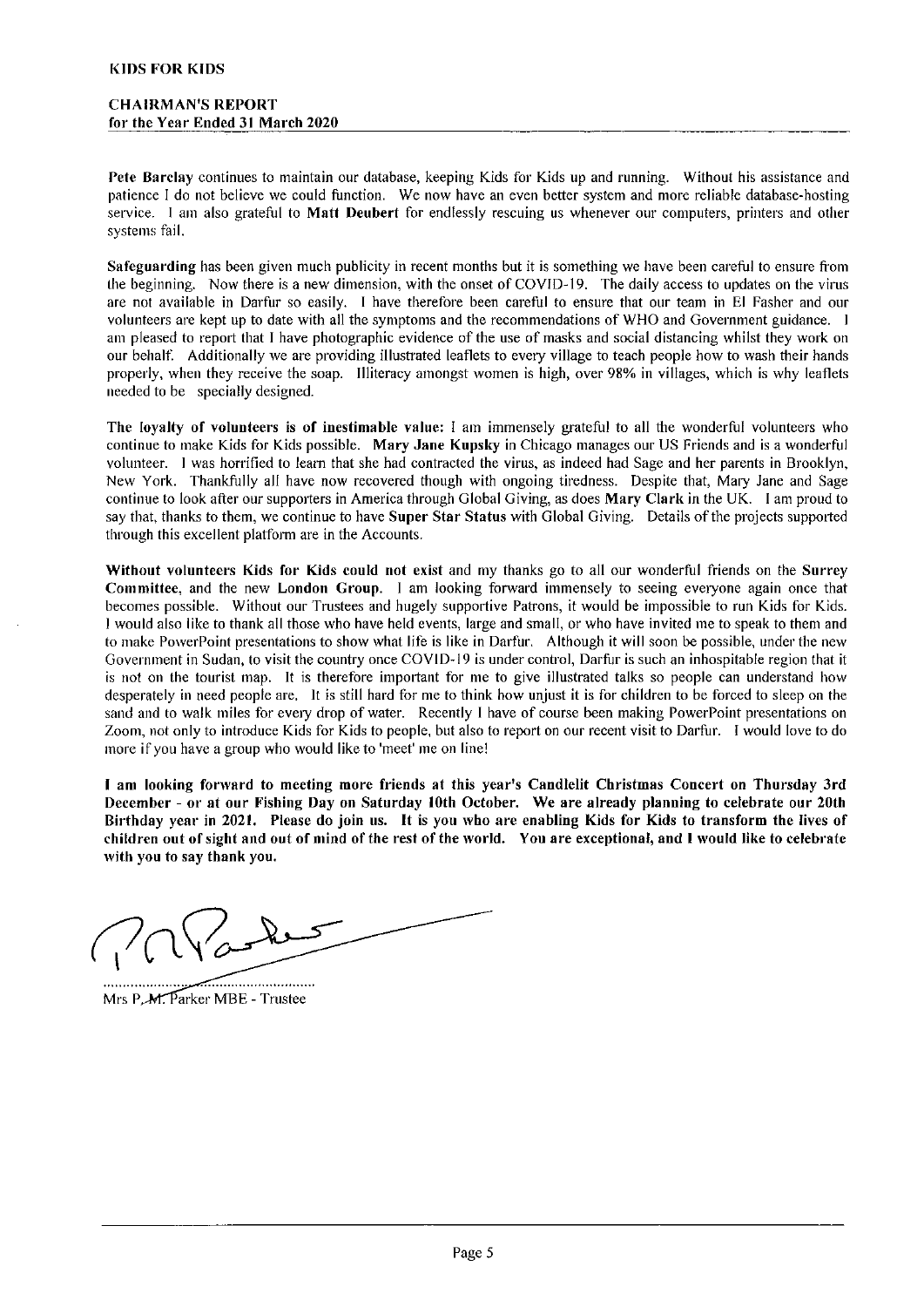Pete Barclay continues to maintain our database, keeping Kids for Kids up and running. Without his assistance and patience <sup>I</sup> do not believe we could function. We now have an even better system and more reliable database-hosting service. I am also grateful to Matt Deubert for endlessly rescuing us whenever our computers, printers and other systems fail.

Safeguarding has been given much publicity in recent months but it is something we have been careful to ensure from the beginning. Now there is a new dimension, with the onset of COVID-19. The daily access to updates on the virus are not available in Darfur so easily. <sup>I</sup> have therefore been careful to ensure that our team in El Fasher and our volunteers are kept up to date with all the symptoms and the recommendations of WHO and Government guidance. <sup>I</sup> am pleased to report that <sup>I</sup> have photographic evidence of the use of masks and social distancing whilst they work on our behalf. Additionally we are providing illustrated leaflets to every village to teach people how to wash their hands properly, when they receive the soap. Illiteracy amongst women is high, over 90% in villages, which is why leaflets needed to be specially designed.

The loyalty of volunteers is of inestimable value: <sup>I</sup> am immensely grateful to all the wonderful volunteers who continue to make Kids for Kids possible. Mary Jane Kupsky in Chicago manages our US Friends and is a wonderful volunteer. <sup>I</sup> was hortified to leam that she had contracted the virus, as indeed had Sage and her parents in Brooklyn, New York. Thankfully all have now recovered though with ongoing tiredness. Despite that, Mary Jane and Sage continue to look after our supporters in America through Global Giving, as does Mary Clark in the UK. I am proud to say that, thanks to them, we continue to have Super Star Status with Global Giving. Details of the projects suppotted through this excellent platform are in the Accounts.

Without volunteers Kids for Kids could not exist and my thanks go to all our wonderful friends on the Surrey Committee, and the new London Group. <sup>I</sup> am looking forward immensely to seeing evetyone again once that becomes possible. Without our Ttustees and hugely supportive Patrons, it would be impossible to run Kids for Kids. <sup>I</sup> would also like to thank all those who have held events, large and small, or who have invited me to speak to them and to make Powerpoint presentations to show what life is like in Darfur. Although it will soon be possible, under the new Government in Sudan, to visit the country once COVID-l9 is under control, Darfur is such an inhospitable region that it is not on the tourist map. It is therefore important for me to give illustrated talks so people can understand how desperately in need people are. It is still hard for me to think how unjust it is for children to be forced to sleep on the sand and to walk miles for every drop of water. Recently I have of course been making PowerPoint presentations on Zoom, not only to introduce Kids for Kids to people, but also to report on our recent visit to Darfur. I would love to do more if you have a group who would like to 'meet' me on line!

I am looking fomvard to meeting more friends at this year's Candlelit Christmas Concert on Thursday 3rd December — or at our Fishing Day on Saturday 10th October. We are already planning to celebrate our 20th Birthday year in 202I. Please do join us. It is you wbo are enabling Kids for Kids to transform the lives of children out of sight and out of mind of the rest of the world. You are exceptional, and I would like to celebrate with you to say thank you.

Mrs P.M. Parker MBE - Trustee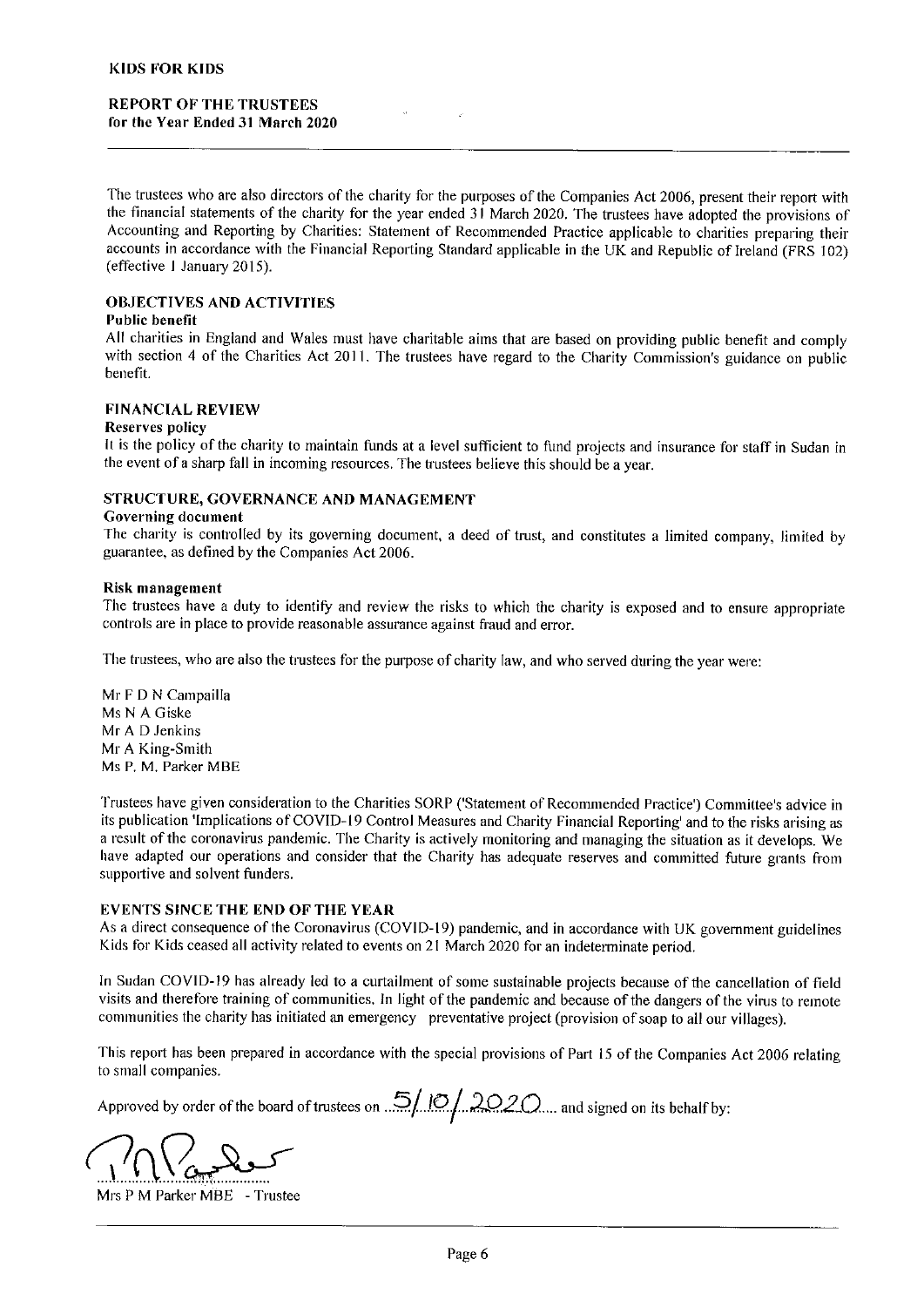## REPORT OF THE TRUSTEES for thc Year Ended 31 March 2020

Tfie trustees who are also directors of the charity for the purposes of the Companies Act 2006, present their report with the financial statements of the charity for the year ended 31 March 2020. The trustees have adopted the provisions of Accounting and Reporting by Charities: Statement of Recommended Practice applicable to charities preparing their accounts in accordance with the Financial Reporting Standard applicable in the UK and Republic of Ireland (FRS 102) (effective 1 January 2015).

# OBJECTIVES AND ACTIVITIES

# Public benefit

All charities in England and Wales must have charitable aims that are based on providing public benefit and comply with section 4 of the Charities Act 2011. The trustees have regard to the Charity Commission's guidance on public benefit.

## FINANCIAL REVIEW

### Reserves policy

lt is the policy of the charity to maintain funds at a level sufficient to fund projects and insurance for staff in Sudan in the event of <sup>a</sup> sharp fall in incoming resources. The trustees believe this should be a year.

### STRUCTURE, GOVERNANCE AND MANAGEMENT

#### Governing document

The charity is controlled by its governing document, a deed of trust, and constitutes a limited company, limited by guarantee, as defined by the Companies Act 2006.

### Risk management

The trustees have a duty to identify and review the risks to which the charity is exposed and to ensure appropriate controls are in place to provide reasonable assurance against fraud and error.

The trustees, who are also the trustees for the purpose of charity law, and who served during the year were:

Mr F D N Campailla Ms N A Giske Mr A D Jenkins Mr A King-Smith Ms P, M. Parker MBE

Trustees have given consideration to the Charities SORP ('Statement of Recommended Practice') Committee's advice in its publication 'Implications of COVID-19 Control Measures and Charity Financial Reporting' and to the risks arising as <sup>a</sup> result of the coronaviius pandemic. The Charity is actively monitoring and managing the situation as it develops. We have adapted our operations and consider that the Charity has adequate reserves and committed future grants from suppottive and solvent funders.

## EVENTS SINCE THE END OF THE YEAR

As <sup>a</sup> direct consequence of the Coronavirus (COVID-19) pandemic, and in accordance with UK government guidelines Kids for Kids ceased all activity related to events on 21 March 2020 for an indeterminate period.

In Sudan COVID-19 has already led to a curtailment of some sustainable projects because of the cancellation of field visits and therefore training of communities. ln light of the pandemic and because of the dangers of the virus to remote communities the charity has initiated an emergency preventative project (provision ofsoap to all our villages).

This report has been prepared in accordance with the special provisions of Part 15 of the Companies Act 2006 relating to small companies.

Approved by order of the board of trustees on  $\frac{5}{10}$ ,  $\frac{10}{2020}$ , and signed on its behalf by:

Mrs P M Parker MBE - Trustee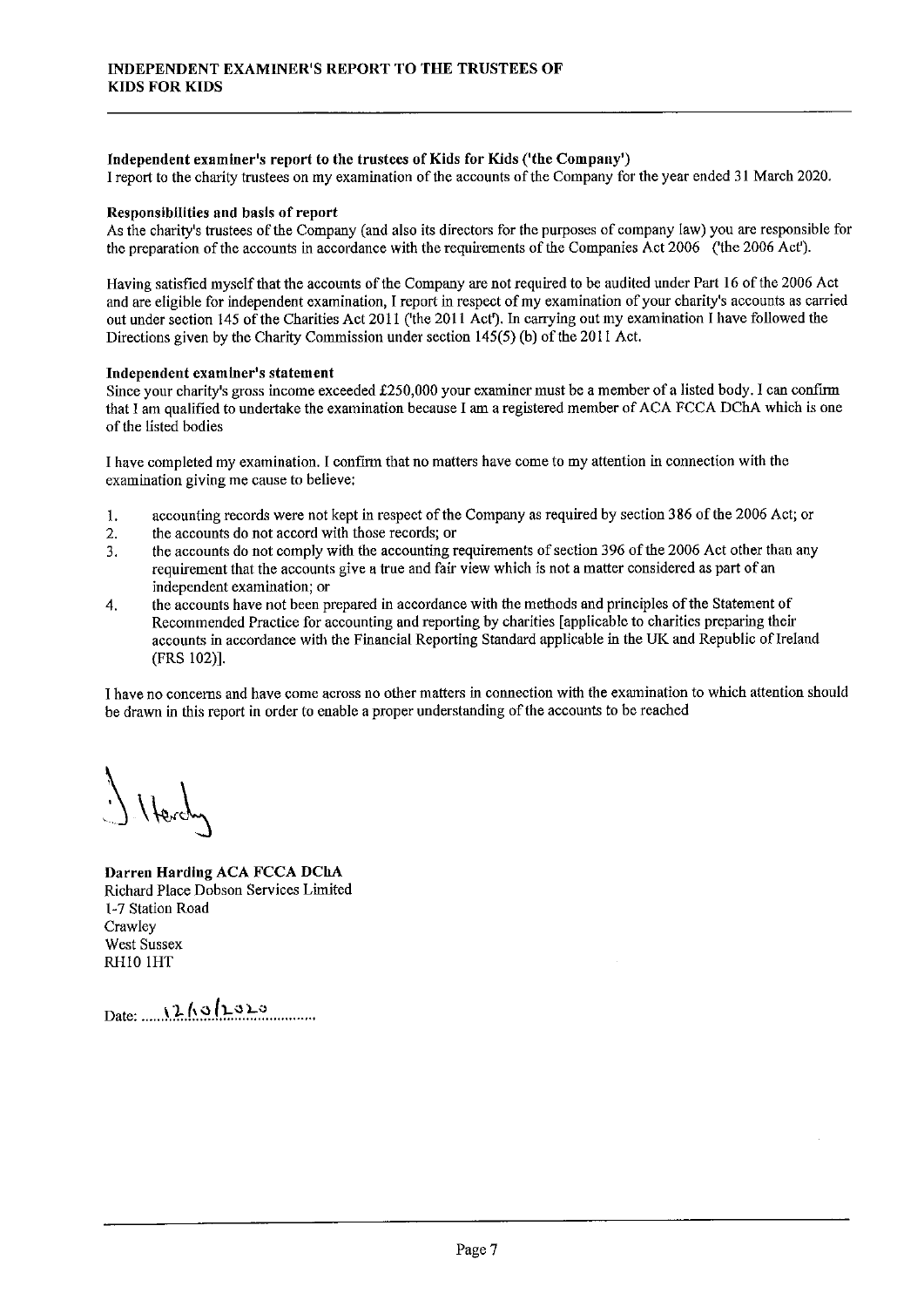# Independent examiner's report to the trustees of Kids for Kids ('the Company' )

I report to the charity trustees on my examination of the accounts of the Company for the year ended 31 March 2020.

## Responsibilities and basis of report

As the charity's trustees of the Company (and also its directors for the purposes of company law) you are responsible for the preparation of the accounts in accordance with the requirements of the Companies Act 2006 ('the 2006 Act').

Having satisfied myself that the accounts of the Company are not required to be audited under Part 16 of the 2006 Act and are eligible for independent examination, I report in respect of my examination of your charity's accounts as carried out under section 145 of the Charities Act 2011 ('the 2011 Acf). In carrying out my examination I have followed the Directions given by the Charity Commission under section  $145(5)$  (b) of the 2011 Act.

## Independent examiner's statement

Since your charity's gross income exceeded f250,<sup>000</sup> your examiner must be <sup>a</sup> member of <sup>a</sup> listed body. I can confirm that I am qualified to undertake the examination because I am a registered member of ACA FCCA DChA which is one of the listed bodies

I have completed my examination. I confirm that no matters have come to my attention in connection with the examination giving me cause to believe:

- 1. accounting records were not kept in respect of the Company as required by section 386 of the 2006 Act; or
- 2. the accounts do not accord with those records; or
- 3. the accounts do not comply with the accounting requirements of section 396 ofthe 2006 Act other than any requirement that the accounts give a true and fair view which is not a matter considered as part of an independent examination; or
- the accounts have not been prepared in accordance with the methods and principles of the Statement of  $\boldsymbol{A}$ Recommended Practice for accounting and reporting by charities [applicable to charities preparing their accounts in accordance with the Financial Reporting Standard applicable in the UK and Republic of Ireland (FRS 102)].

I have no concerns and have come across no other matters in connection with the examination to which attention should be drawn in this report in order to enable a proper understanding of the accounts to be reached

Darren Harding ACA FCCA DChA Richard Place Dobson Services Limited 1-7 Station Road **Crawley** West Sussex RHI0 IHT

 $Date: 12/10/100$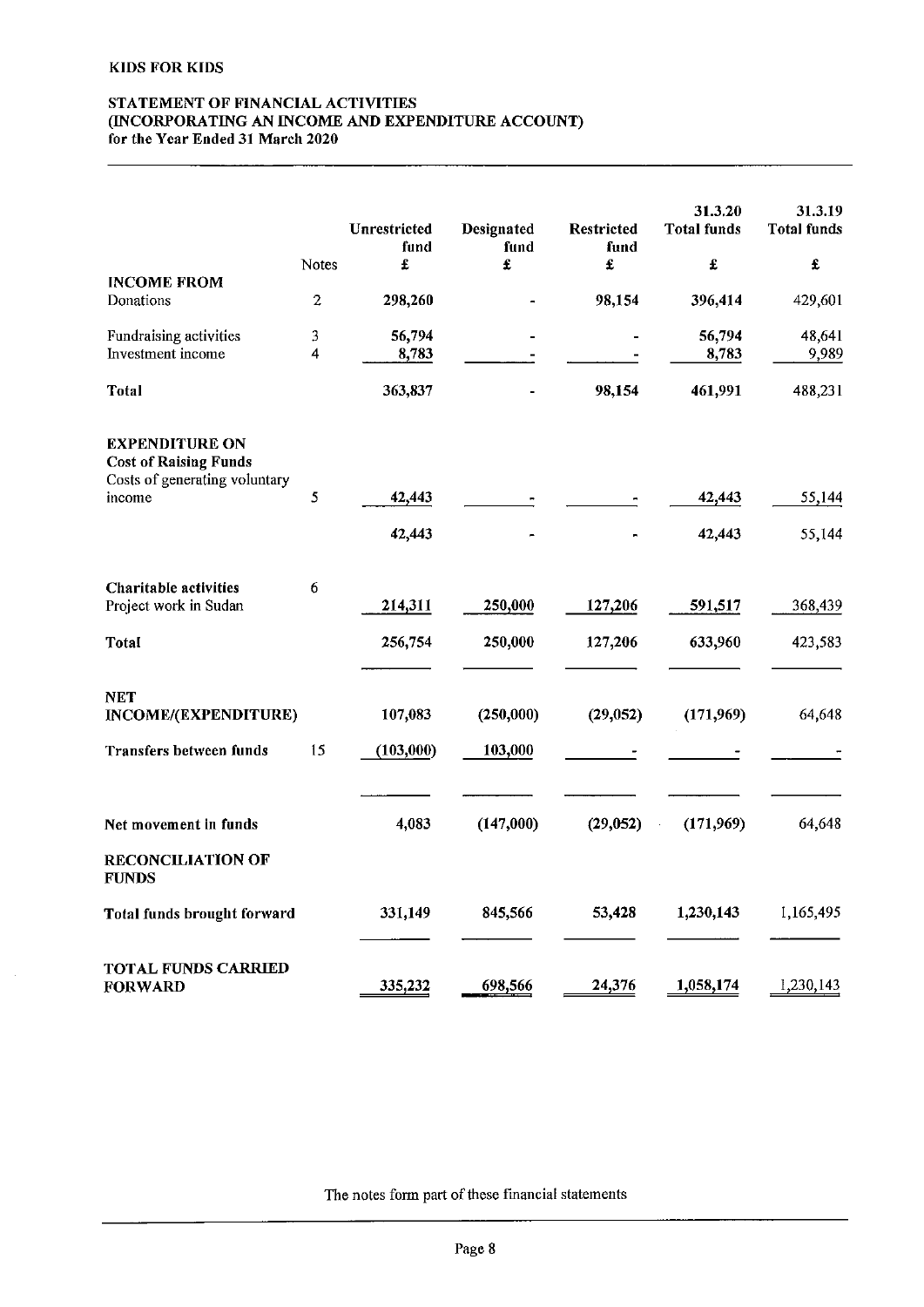$\bar{z}$ 

## STATEMENT OF FINANCIAL ACTIVITIES INCORPORATING AN INCOME AND EXPENDITURE ACCOUNT) for the Year Ended 31 March 2020

|                                                                                        | Notes            | Unrestricted<br>fund<br>£ | Designated<br>fund<br>£ | <b>Restricted</b><br>fund<br>£ | 31.3.20<br><b>Total funds</b><br>£ | 31.3.19<br><b>Total funds</b><br>$\pmb{\hat{x}}$ |
|----------------------------------------------------------------------------------------|------------------|---------------------------|-------------------------|--------------------------------|------------------------------------|--------------------------------------------------|
| <b>INCOME FROM</b>                                                                     |                  |                           |                         |                                |                                    |                                                  |
| Donations                                                                              | $\boldsymbol{2}$ | 298,260                   |                         | 98,154                         | 396,414                            | 429,601                                          |
| Fundraising activities                                                                 | $\mathfrak{Z}$   | 56,794                    |                         |                                | 56,794                             | 48,641                                           |
| Investment income                                                                      | 4                | 8,783                     |                         |                                | 8,783                              | 9,989                                            |
| Total                                                                                  |                  | 363,837                   |                         | 98,154                         | 461,991                            | 488,231                                          |
| <b>EXPENDITURE ON</b><br><b>Cost of Raising Funds</b><br>Costs of generating voluntary |                  |                           |                         |                                |                                    |                                                  |
| income                                                                                 | 5                | 42,443                    |                         |                                | 42,443                             | 55,144                                           |
|                                                                                        |                  | 42,443                    |                         |                                | 42,443                             | 55,144                                           |
| <b>Charitable activities</b><br>Project work in Sudan                                  | 6                | 214,311                   | 250,000                 | 127,206                        | 591,517                            | 368,439                                          |
| Total                                                                                  |                  | 256,754                   | 250,000                 | 127,206                        | 633,960                            | 423,583                                          |
| NET<br>INCOME/(EXPENDITURE)                                                            |                  | 107,083                   | (250,000)               | (29, 052)                      | (171,969)                          | 64,648                                           |
| <b>Transfers between funds</b>                                                         | 15               | (103,000)                 | 103,000                 |                                |                                    |                                                  |
| Net movement in funds                                                                  |                  | 4,083                     | (147,000)               | (29, 052)                      | (171,969)                          | 64,648                                           |
| <b>RECONCILIATION OF</b><br><b>FUNDS</b>                                               |                  |                           |                         |                                |                                    |                                                  |
| Total funds brought forward                                                            |                  | 331,149                   | 845,566                 | 53,428                         | 1,230,143                          | 1,165,495                                        |
| <b>TOTAL FUNDS CARRIED</b><br><b>FORWARD</b>                                           |                  | 335,232                   | 698,566                 | 24,376                         | 1,058,174                          | 1,230,143                                        |

The notes form part of these financial statements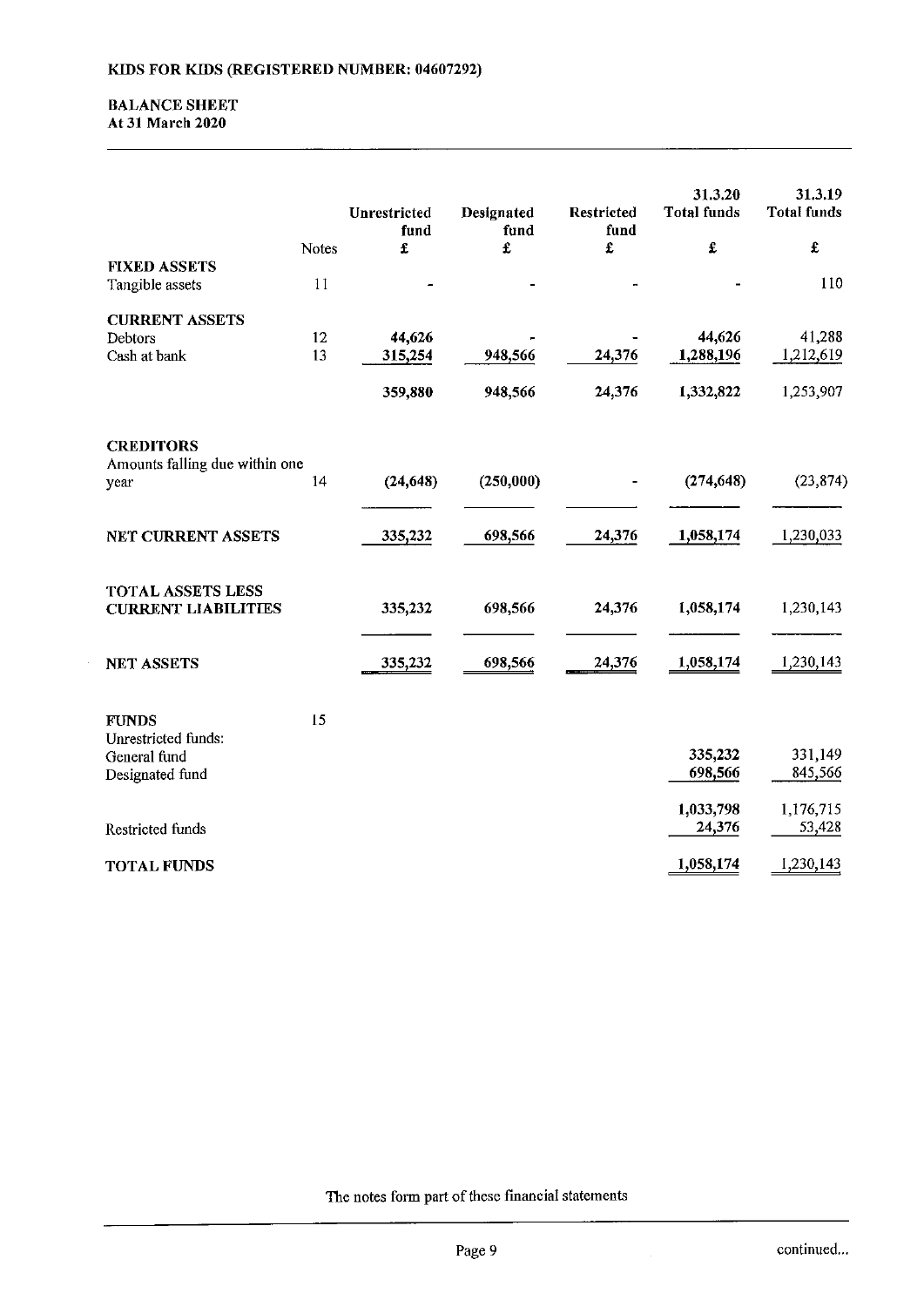## **BALANCE SHEET** At 31 March 2020

|                                                        |          | Unrestricted      | Designated | Restricted | 31.3.20<br><b>Total funds</b> | 31.3.19<br><b>Total funds</b> |
|--------------------------------------------------------|----------|-------------------|------------|------------|-------------------------------|-------------------------------|
|                                                        |          | fund              | fund       | fund       |                               |                               |
| <b>FIXED ASSETS</b>                                    | Notes    | £                 | £          | £          | £                             | £                             |
| Tangible assets                                        | 11       |                   |            |            |                               | 110                           |
| <b>CURRENT ASSETS</b>                                  |          |                   |            |            |                               |                               |
| Debtors<br>Cash at bank                                | 12<br>13 | 44,626<br>315,254 | 948,566    | 24,376     | 44,626<br>1,288,196           | 41,288<br>1,212,619           |
|                                                        |          | 359,880           | 948,566    | 24,376     | 1,332,822                     | 1,253,907                     |
| <b>CREDITORS</b>                                       |          |                   |            |            |                               |                               |
| Amounts falling due within one<br>year                 | 14       | (24, 648)         | (250,000)  |            | (274, 648)                    | (23, 874)                     |
| <b>NET CURRENT ASSETS</b>                              |          | 335,232           | 698,566    | 24,376     | 1,058,174                     | 1,230,033                     |
| <b>TOTAL ASSETS LESS</b><br><b>CURRENT LIABILITIES</b> |          | 335,232           | 698,566    | 24,376     | 1,058,174                     | 1,230,143                     |
| <b>NET ASSETS</b>                                      |          | 335,232           | 698,566    | 24,376     | 1,058,174                     | 1,230,143                     |
| <b>FUNDS</b><br>Unrestricted funds:                    | 15       |                   |            |            |                               |                               |
| General fund<br>Designated fund                        |          |                   |            |            | 335,232<br>698,566            | 331,149<br>845,566            |
| Restricted funds                                       |          |                   |            |            | 1,033,798<br>24,376           | 1,176,715<br>53,428           |
| <b>TOTAL FUNDS</b>                                     |          |                   |            |            | 1,058,174                     | 1,230,143                     |

The notes form part of these financial statements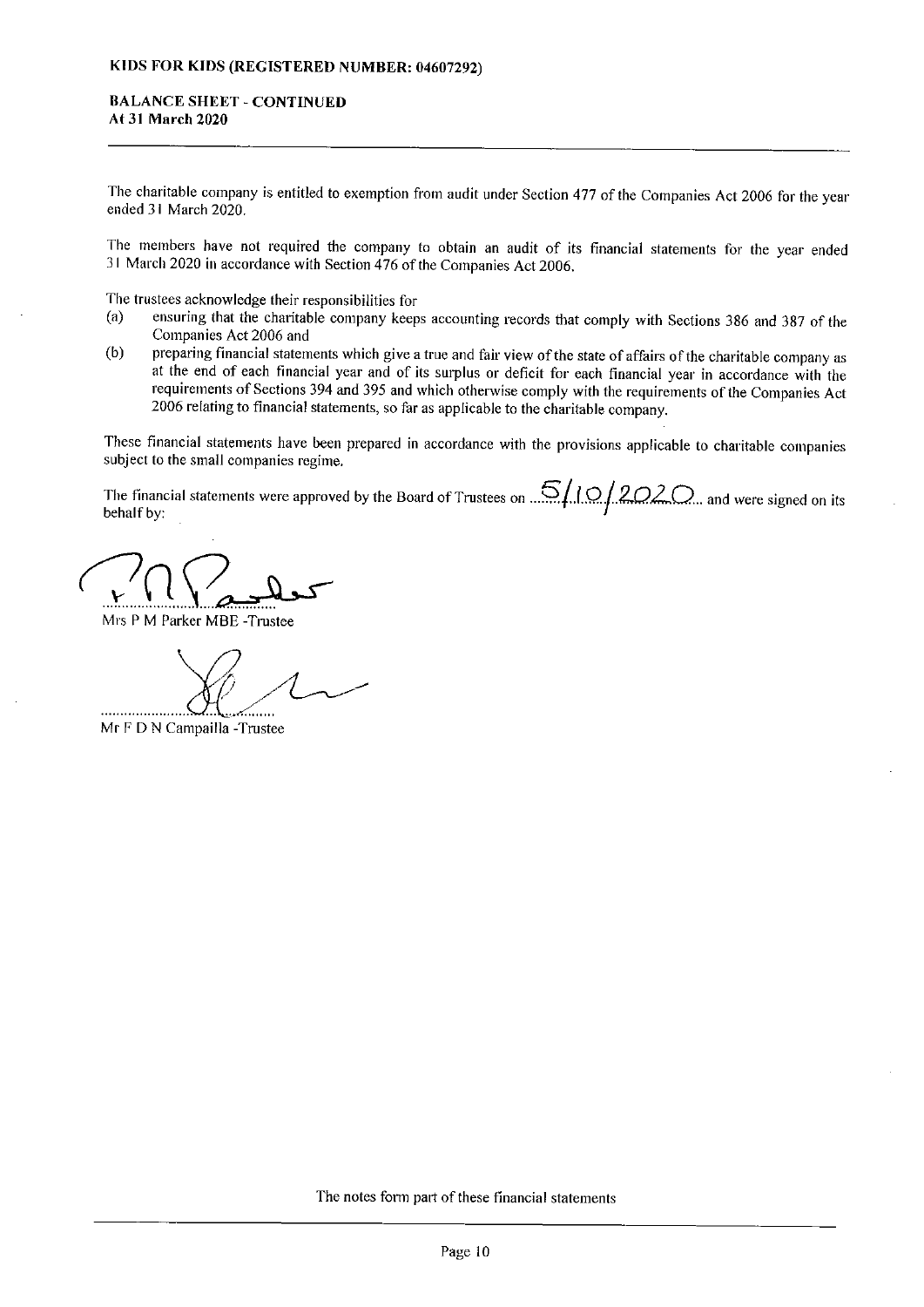## BALANCE SHEET - CONTINVED At 31 March 2020

The charitable company is entitled to exemption from audit under Section 477 of the Companies Act 2006 for the year ended 31 March 2020.

The members have not required the company to obtain an audit of its financial statements for the year ended 31 March 2020 in accordance with Section 476 of the Companies Act 2006.

The trustees acknowledge their responsibilities for<br>(a) ensuring that the charitable company keen

- ensuring that the charitable company keeps accounting records that comply with Sections 386 and 387 of the Companies Act 2006 and
- (b) preparing financial statements which give a true and fair view of the state of affairs of the charitable company as at the end of each financial year and of its surplus or deficit for each financial year in accordance with the requirements of Sections 394 and 395 and which otherwise comply with the requirements of the Companies Act 2006 relating to financial statements, so far as applicable to the charitable company.

These financial statements have been prepared in accordance with the provisions applicable to charitable companies subject to the small companies regime.

The financial statements were approved by the Board of Trustees on  $\mathcal{L}/\Omega/2$ ,  $2$ ,  $\Omega$ , and were signed on its behalf by:

 $n_{\text{ref}}$ 

Mrs P M Parker MBE -Trustee

Mr F D N Campailla -Trustee

The notes form part of these financial statements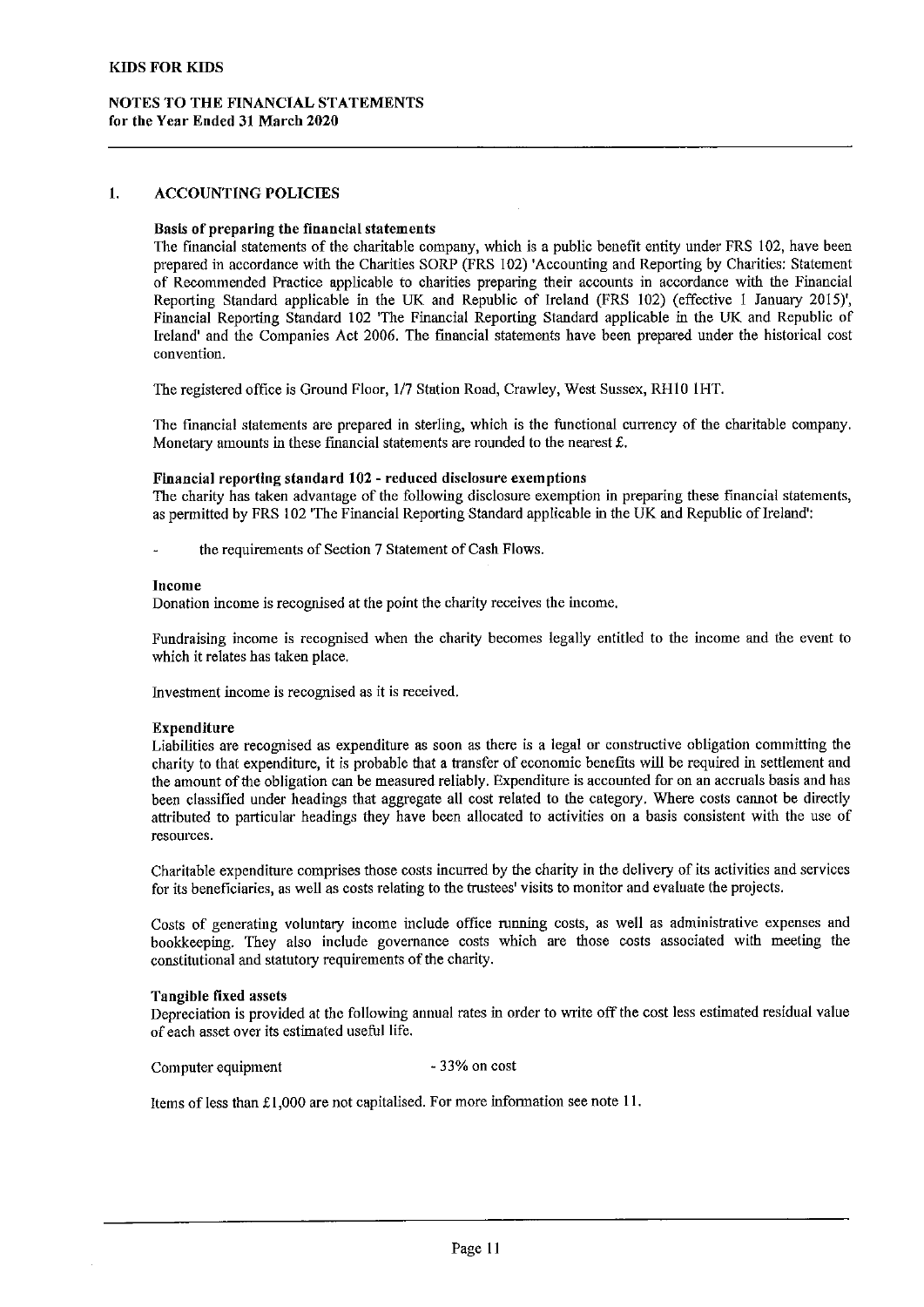## NOTES TO THE FINANCIAL STATEMENTS for the Year Ended 31 March 2020

#### 1. ACCOUNTING POLICIES

# Basis of preparing the financial statements

The financial statements of the charitable company, which is a public benefit entity under FRS 102, have been prepared in accordance with the Charities SORP (FRS 102) 'Accounting and Reporting by Charities: Statement of Recommended Practice applicable to charities preparing their accounts in accordance with the Financial Reporting Standard applicable in the UK and Republic of Ireland (FRS 102) (effective <sup>1</sup> January 2015)', Financial Reporting Standard 102 'The Financial Reporting Standard applicable in the UK and Republic of Ireland' and the Companies Act 2006. The financial statements have been prepared under the historical cost convention.

The registered office is Ground Floor, I/7 Station Road, Crawley, West Sussex, RH10 IHT.

The financial statements are prepared in sterling, which is the functional currency of the charitable company. Monetary amounts in these financial statements are rounded to the nearest  $\mathbf{f}$ .

#### Financial reporting standard 102 - reduced disclosure exemptions

The charity has taken advantage of the following disclosure exemption in preparing these financial statements, as permitted by FRS 102 'The Financial Reporting Standard applicable in the UK and Republic of Ireland':

the requirements of Section 7 Statement of Cash Flows.

## Income

Donation income is recognised at the point the charity receives the income.

Fundraising income is recognised when the charity becomes legally entitled to the income and the event to which it relates has taken place.

Investment income is recognised as it is received.

#### Expenditure

Liabilities are recognised as expenditure as soon as there is a legal or constructive obligation committing the charity to that expenditure, it is probable that a transfer of economic benefits will be required in settlement and the amount ofthe obligation can be measured reliably. Expenditure is accounted for on an accruals basis and has been classified under headings that aggregate all cost related to the category. Where costs cannot be directly attributed to particular headings they have been allocated to activities on a basis consistent with the use of resources.

Charitable expenditure comprises those costs incurred by the charity in the delivery of its activities and services for its beneficiaries, as well as costs relating to the trustees' visits to monitor and evaluate the projects.

Costs of generating voluntary income include office running costs, as well as administrative expenses and bookkeeping. They also include governance costs which are those costs associated with meeting the constitutional and statutory requirements of the charity.

#### Tangible fixed assets

Depreciation is provided at the following annual rates in order to write off the cost less estimated residual value of each asset over its estimated useful life.

Computer equipment 33% on cost

Items of less than  $£1,000$  are not capitalised. For more information see note 11.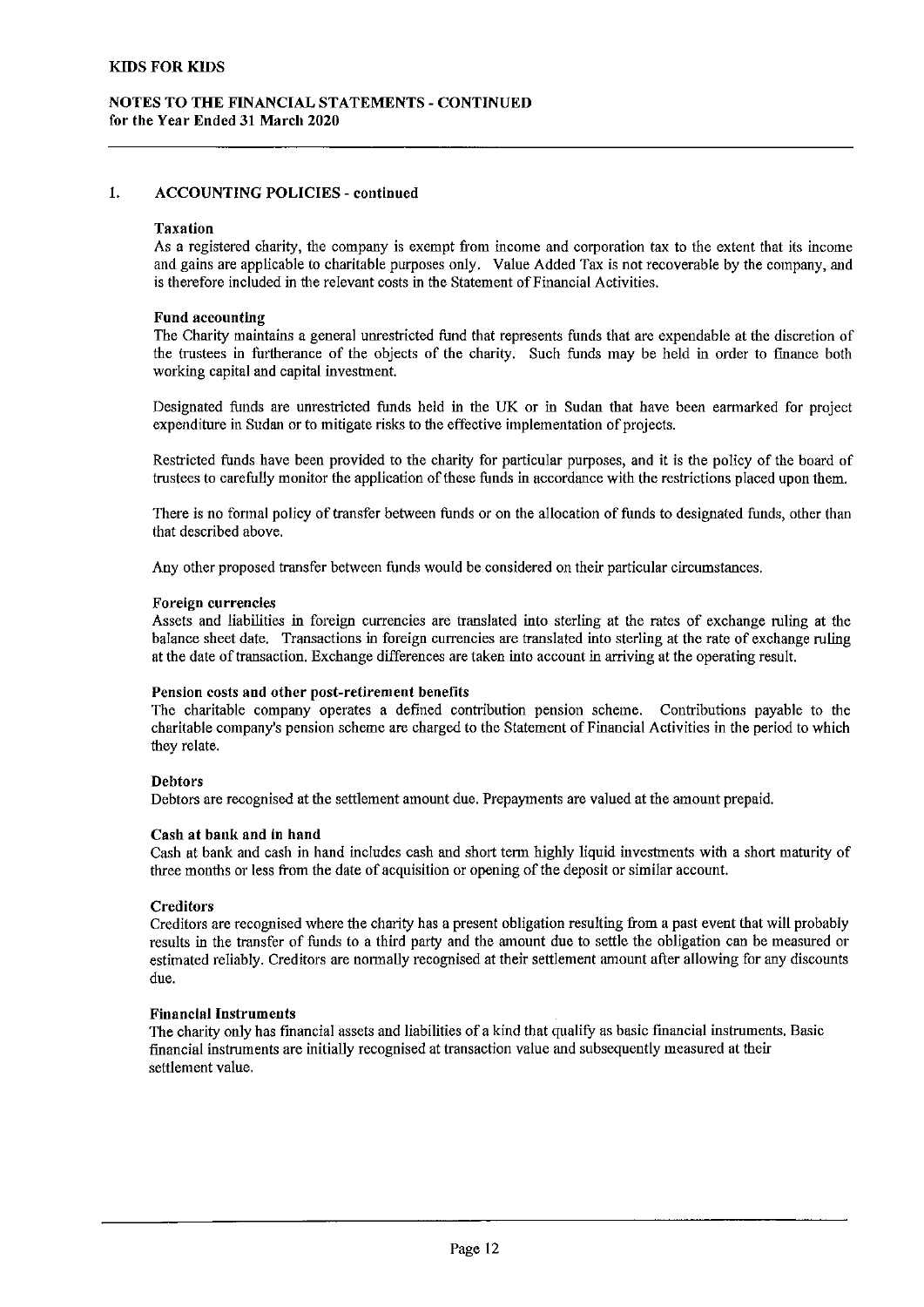#### 1. ACCOUNTING POLICIES - continued

#### Taxation

As a registered charity, the company is exempt fiom income and corporation tax to the extent that its income and gains are applicable to charitable purposes only. Value Added Tax is not recoverable by the company, and is therefore included in the relevant costs in the Statement of Financial Activities.

### Fund accounting

The Charity maintains a general unrestricted fund that represents funds that are expendable at the discretion of the trustees in furtherance of the objects of the charity. Such funds may be held in order to finance both working capital and capital investment.

Designated funds are unrestricted funds held in the UK or in Sudan that have been earmarked for project expenditure in Sudan or to mitigate risks to the effective implementation of projects.

Restricted funds have been provided to the charity for particular purposes, and it is the policy of the board of trustees to carefully monitor the application of these funds in accordance with the restrictions placed upon them.

There is no formal policy of transfer between funds or on the allocation of funds to designated funds, other than that described above.

Any other proposed transfer between funds would be considered on their particular circumstances.

#### Foreign currencies

Assets and liabilities in foreign currencies are translated into sterling at the rates of exchange ruling at the balance sheet date. Transactions in foreign currencies are translated into sterling at the rate of exchange ruling at the date of transaction. Exchange differences are taken into account in arriving at the operating result.

#### Pension costs and other post-retirement benefits

The charitable company operates a defined contribution pension scheme. Contributions payable to the charitable company's pension scheme are charged to the Statement of Financial Activities in the period to which they relate.

## Debtors

Debtors are recognised at the settlement amount due. Prepayments are valued at the amount prepaid.

#### Cash at bank and in hand

Cash at bank and cash in hand includes cash and short term highly liquid investments with a short maturity of three months or less from the date of acquisition or opening of the deposit or similar account.

#### **Creditors**

Creditors are recognised where the charity has a present obligation resulting from a past event that will probably results in the transfer of funds to a third party and the amount due to settle the obligation can be measured or estimated reliably. Creditors are normally recognised at their settlement amount atter allowing for any discounts due.

#### Fiuanclal Instruments

The charity only has financial assets and liabilities of a kind that qualify as basic financial instruments. Basic financial instruments are initially recognised at transaction value and subsequently measured at their settlement value.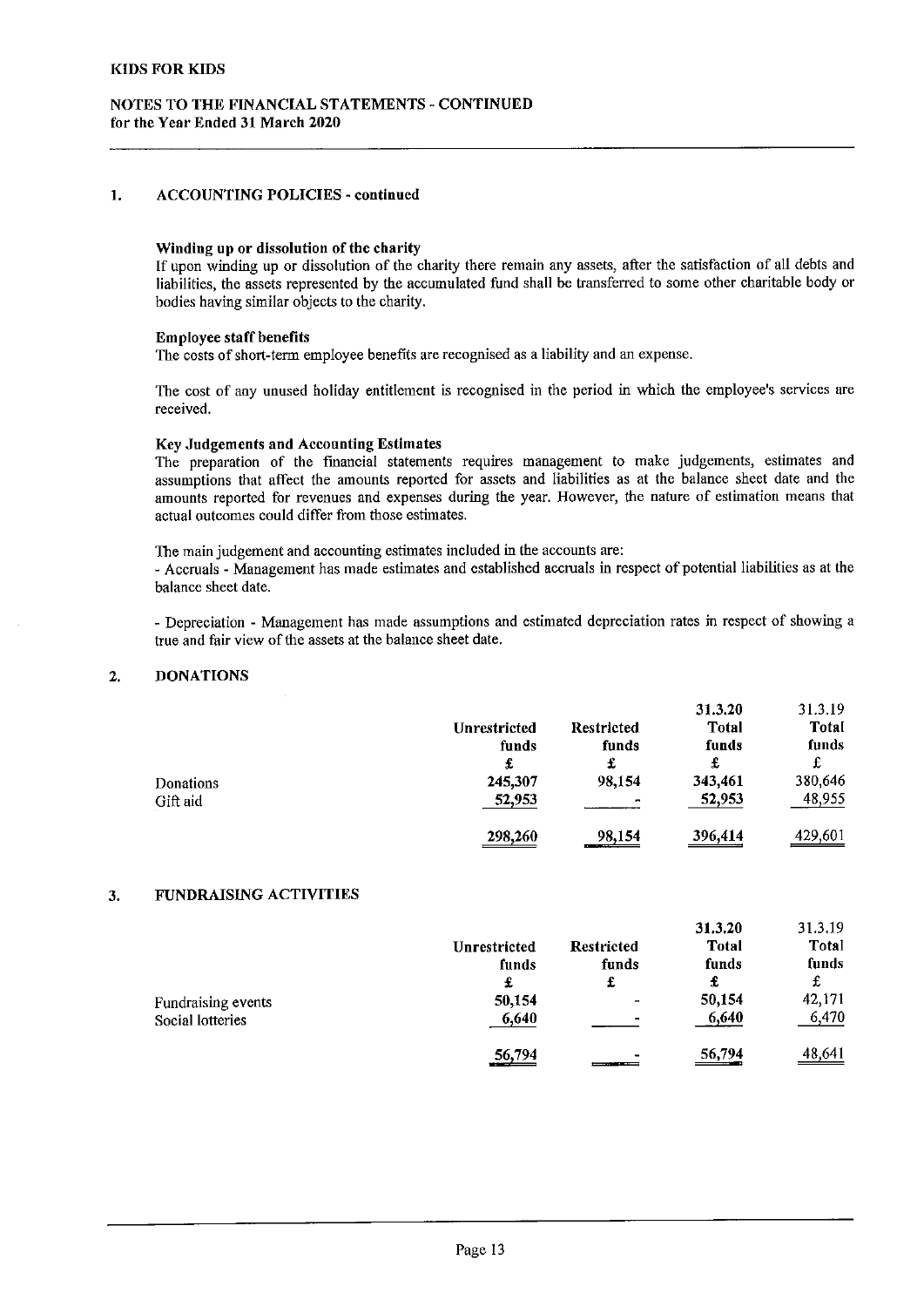## 1. ACCOUNTING POLICIES - continued

#### Winding up or dissolution of the charity

lf upon winding up or dissolution of the charity there remain any assets, after the satisfaction of all debts and liabilities, the assets represented by the accumulated fund shall be transferred to some other charitable body or bodies having similar objects to the charity.

### Employee staff benefits

The costs of short-term employee benefits are recognised as a liability and an expense.

The cost of any unused holiday entitlement is recognised in the period in which the employee's services are received.

### Key Judgements and Accounting Estimates

The preparation of the financial statements requires management to make judgements, estimates and assumptions that affect the amounts reported for assets and liabilities as at the balance sheet date and the amounts reported for revenues and expenses during the year. However, the nature of estimation means that actual outcomes could differ from those estimates.

The main judgement and accounting estimates included in the accounts are:

- Accruals - Management has made estimates and established accruals in respect of potential liabilities as at the balance sheet date.

- Depreciation - Management has made assumptions and estimated depreciation rates in respect of showing a true and fair view of the assets at the balance sheet date.

#### $2.$ DONATIONS

|           |                     |                   | 31.3.20      | 31.3.19        |
|-----------|---------------------|-------------------|--------------|----------------|
|           | <b>Unrestricted</b> | <b>Restricted</b> | <b>Total</b> | Total          |
|           | funds               | funds             | funds        | funds          |
|           | £                   | £                 | £            | £              |
| Donations | 245,307             | 98.154            | 343,461      | 380,646        |
| Gift aid  | 52,953              | $\blacksquare$    | 52,953       | 48,955         |
|           | 298,260             | 98.154<br>ستسعد   | 396,414      | <u>429,601</u> |

## 3. FUNDRAISING ACTIVITIES

|                    |                              |                   | 31.3.20            | 31.3.19 |
|--------------------|------------------------------|-------------------|--------------------|---------|
|                    | <b>Unrestricted</b>          | <b>Restricted</b> | <b>Total</b>       | Total   |
|                    | funds                        | funds             | funds              | funds   |
|                    | £                            | £                 | £                  | £       |
| Fundraising events | 50,154                       | $\bullet$         | 50,154             | 42,171  |
| Social lotteries   | 6,640                        |                   | 6,640              | 6,470   |
|                    | 56,794<br><u>www.two.com</u> | ٠<br>_____        | $\frac{56,794}{1}$ | 48,641  |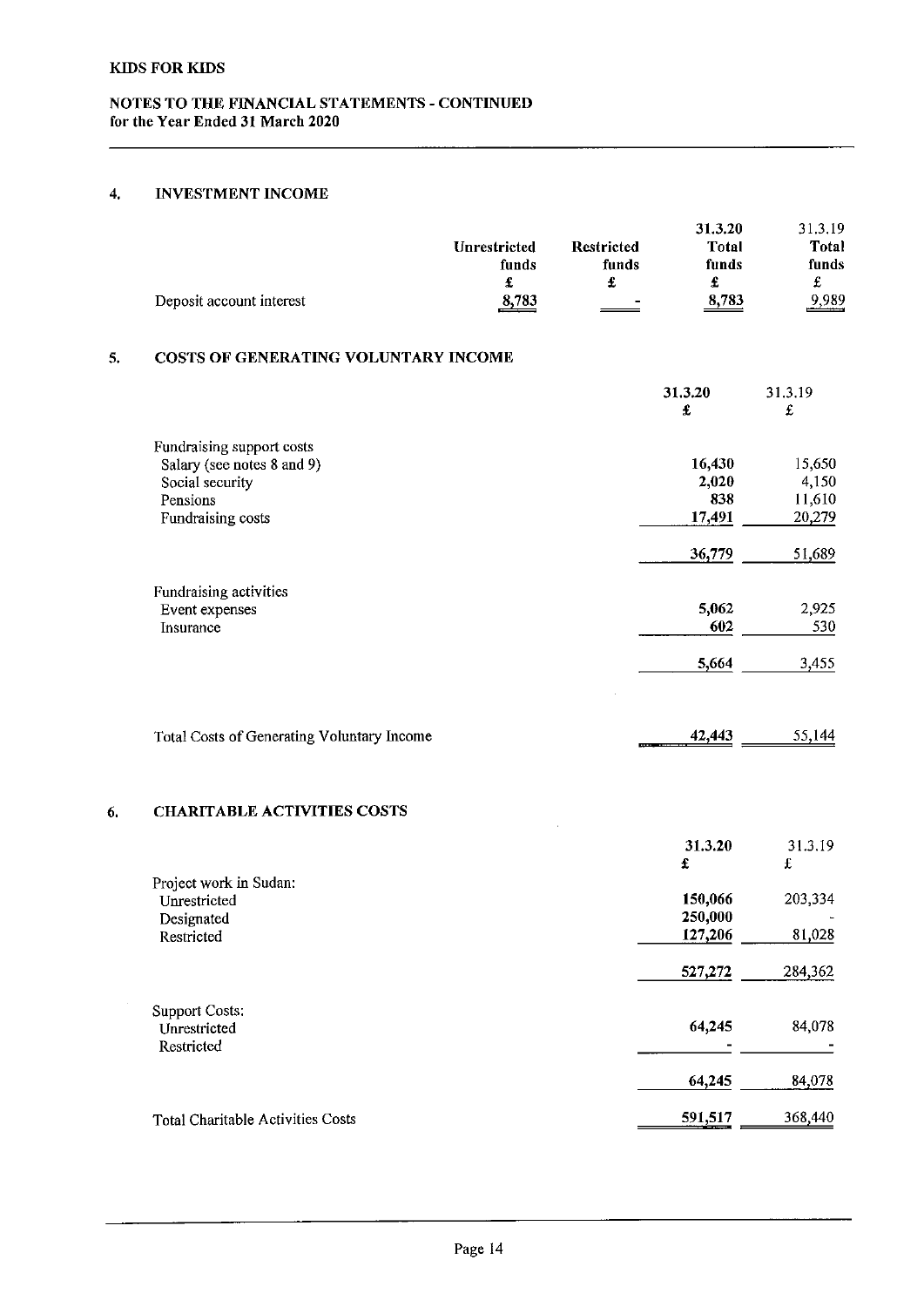# 4. INVESTMENT INCOME

|    | Deposit account interest                                                                                    | Unrestricted<br>funds<br>8,783 | <b>Restricted</b><br>funds<br>$\pmb{\mathfrak{L}}$ | 31.3.20<br><b>Total</b><br>funds<br>£<br>8,783 | 31.3.19<br><b>Total</b><br>funds<br>$\mathfrak{L}% _{0}$<br>9,989 |
|----|-------------------------------------------------------------------------------------------------------------|--------------------------------|----------------------------------------------------|------------------------------------------------|-------------------------------------------------------------------|
| 5. | COSTS OF GENERATING VOLUNTARY INCOME                                                                        |                                |                                                    |                                                |                                                                   |
|    |                                                                                                             |                                |                                                    | 31,3.20<br>£                                   | 31.3.19<br>£                                                      |
|    | Fundraising support costs<br>Salary (see notes 8 and 9)<br>Social security<br>Pensions<br>Fundraising costs |                                |                                                    | 16,430<br>2,020<br>838<br>17,491<br>36,779     | 15,650<br>4,150<br>11,610<br>20,279<br>51,689                     |
|    | Fundraising activities<br>Event expenses<br>Insurance                                                       |                                |                                                    | 5,062<br>602                                   | 2,925<br>530                                                      |
|    | Total Costs of Generating Voluntary Income                                                                  |                                | <b>COMPANY</b>                                     | 5,664<br>42,443                                | 3,455<br>55,144                                                   |
| 6. | <b>CHARITABLE ACTIVITIES COSTS</b>                                                                          |                                |                                                    |                                                |                                                                   |
|    | Project work in Sudan:                                                                                      |                                |                                                    | 31,3.20<br>£                                   | 31.3.19<br>£                                                      |
|    | Unrestricted<br>Designated<br>Restricted                                                                    |                                |                                                    | 150,066<br>250,000<br>127,206                  | 203,334<br>81,028                                                 |
|    |                                                                                                             |                                |                                                    | 527,272                                        | 284,362                                                           |
|    | <b>Support Costs:</b><br>Unrestricted<br>Restricted                                                         |                                |                                                    | 64,245                                         | 84,078                                                            |
|    |                                                                                                             |                                |                                                    | 64,245                                         | 84,078                                                            |
|    | <b>Total Charitable Activities Costs</b>                                                                    |                                |                                                    | 591,517                                        | 368,440                                                           |
|    |                                                                                                             |                                |                                                    |                                                |                                                                   |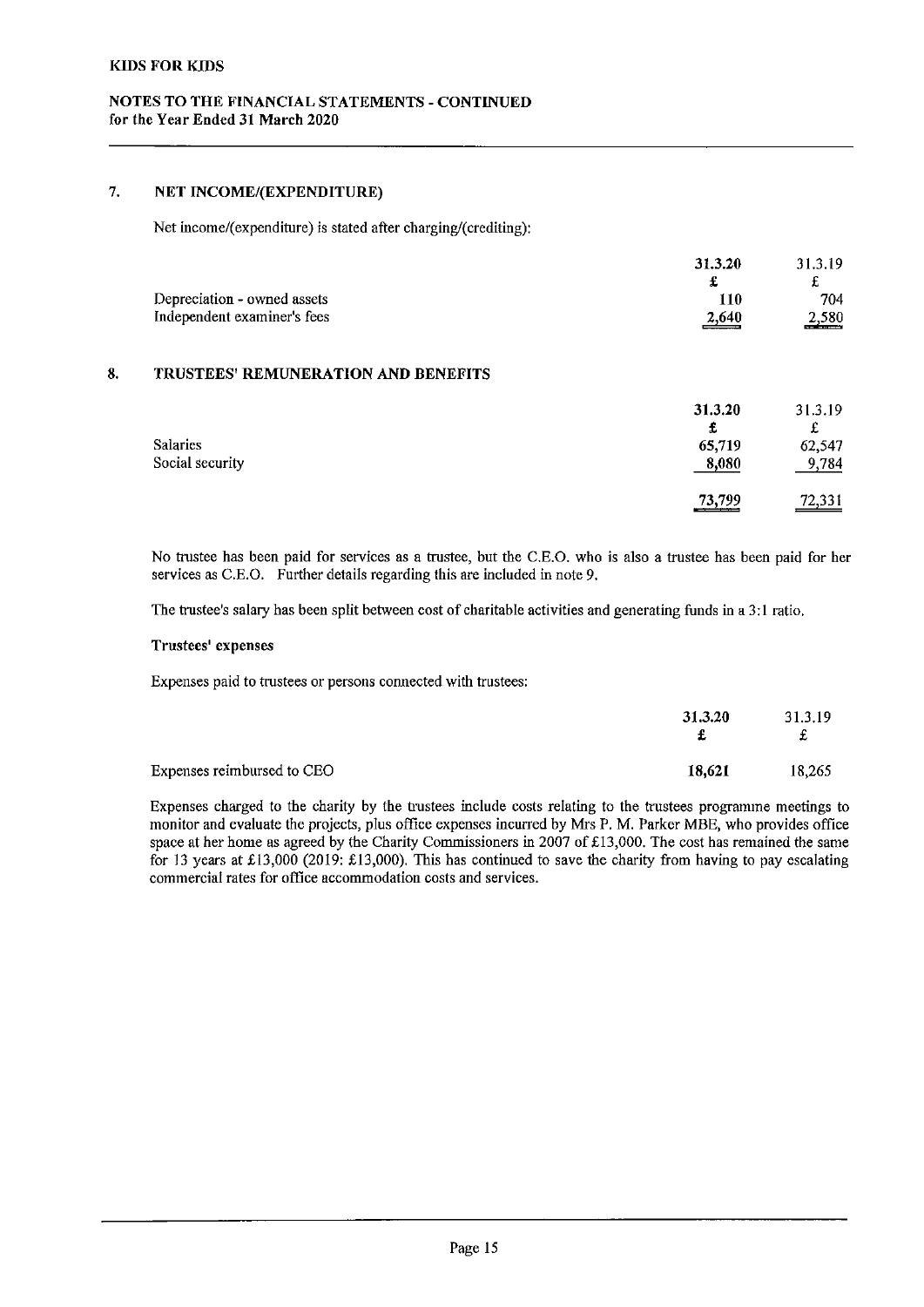# 7. NET INCOME/(EXPENDITURE)

Net income/(expenditure) is stated after charging/(crediting);

|                                      | 31.3.20 | 31.3.19                                   |
|--------------------------------------|---------|-------------------------------------------|
|                                      |         |                                           |
| Depreciation - owned assets          | 110     | 704                                       |
| Independent examiner's fees          | 2,640   | 2.580<br><b><i><u>ATTERNATION</u></i></b> |
|                                      |         |                                           |
| TRUSTERS' DEMINED ATION AND RENEETTS |         |                                           |

# 8. TRUSTEES' REMUNERATION AND BENEFITS

|                 | 31.3.20<br>£ | 31.3.19<br>£       |
|-----------------|--------------|--------------------|
| Salaries        | 65,719       | 62,547             |
| Social security | 8,080        | 9,784              |
|                 | 73,799       | $\frac{72,331}{2}$ |

No trustee has been paid for services as a trustee, but the C.E.O. who is also a trustee has been paid for her services as C.E.O. Further details regarding this are included in note 9.

The trustee's salary has been split between cost of charitable activities and generating funds in a 3:I ratio.

### Trustees' expenses

Expenses paid to trustees or persons connected with trustees:

|                            | 31.3.20 | 31.3.19<br>£ |
|----------------------------|---------|--------------|
| Expenses reimbursed to CEO | 18,621  | 18.265       |

Expenses charged to the charity by the trustees include costs relating to the trustees programme meetings to monitor and evaluate the projects, plus offlce expenses incurred by Mrs P. M. Parker MBE, who provides office space at her home as agreed by the Charity Commissioners in 2007 of £13,000. The cost has remained the same for 13 years at £13,000 (2019: £13,000). This has continued to save the charity from having to pay escalating commercial rates for office accommodation costs and services.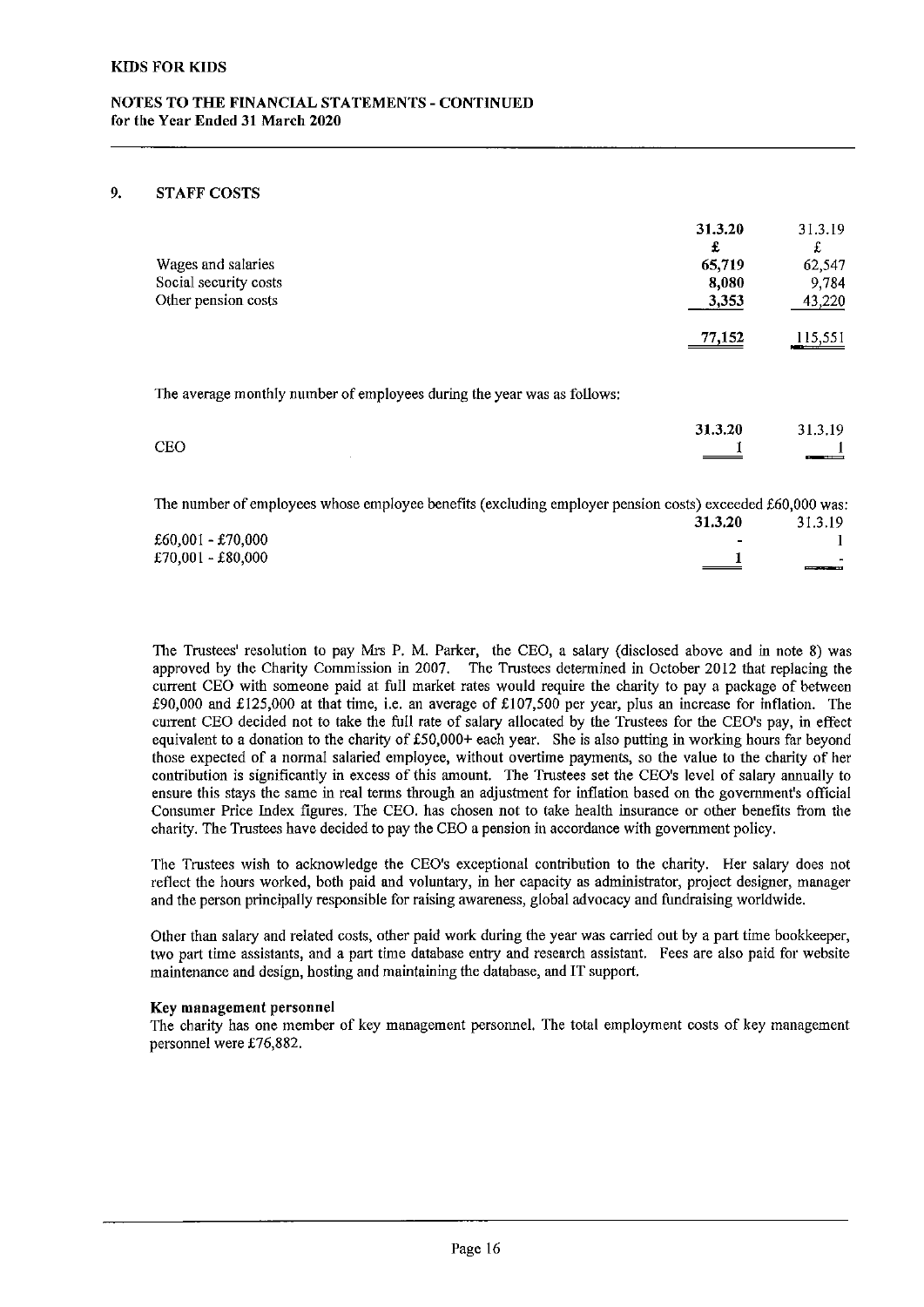## NOTES TO THE FINANCIAL STATEMENTS - CONTINUED for the Year Ended 31 March 2020

## 9. STAFF COSTS

|                       | 31.3.20<br>£ | 31.3.19<br>£ |
|-----------------------|--------------|--------------|
| Wages and salaries    | 65,719       | 62,547       |
| Social security costs | 8,080        | 9,784        |
| Other pension costs   | 3,353        | 43,220       |
|                       | 77,152       | 115,551      |
|                       |              |              |

The average monthly number of employees during the year was as follows:

|            | 31.3.20             | 31.3.19 |
|------------|---------------------|---------|
| <b>CEO</b> | $\hspace{0.05cm} =$ | ---     |

1he number of employees whose employee benefits (excluding employer pension costs) exceeded \$60,000 was:

|                   | 31.3.20                  | 31.3.19                  |
|-------------------|--------------------------|--------------------------|
| £60,001 - £70,000 | $\overline{\phantom{0}}$ |                          |
| £70,001 - £80,000 |                          | $\sim$                   |
|                   | _____                    | <b>PERSONAL PROPERTY</b> |

The Trustees' resolution to pay Mrs P. M. Parker, the CEO, a salary (disclosed above and in note 8) was approved by the Charity Commission in 2007. The Trustees determined in October 2012 that replacing the current CEO with someone paid at full market rates would require the charity to pay a package of between £90,000 and £125,000 at that time, i.e. an average of £107,500 per year, plus an increase for inflation. The current CEO decided not to take the full rate of salary allocated by the Trustees for the CEO's pay, in effect equivalent to a donation to the charity of £50,000+ each year. She is also putting in working hours far beyond those expected of a normal salaried employee, without overtime payments, so the value to the charity of her contribution is significantly in excess of this amount. The Trustees set the CEO's level of salary annually to ensure this stays the same in real terms through an adjustment for inflation based on the government's official Consumer Price Index figures, The CEO. has chosen not to take health insurance or other benefits from the charity. The Trustees have decided to pay the CEO a pension in accordance with government policy.

The Trustees wish to acknowledge the CEO's exceptional contribution to the charity. Her salary does not reflect the hours worked, both paid and voluntaty, in her capacity as administrator, project designer, manager and the person principally responsible for raising awareness, global advocacy and fundraising worldwide.

Other than salary and related costs, other paid work during the year was carried out by a part time bookkeeper, two part time assistants, and a part time database entry and research assistant, Fees are also paid for website maintenance and design, hosting and maintaining the database, and IT support.

## Key management personnel

The charity has one member of key management personnel. The total employment costs of key management personnel were £76,882.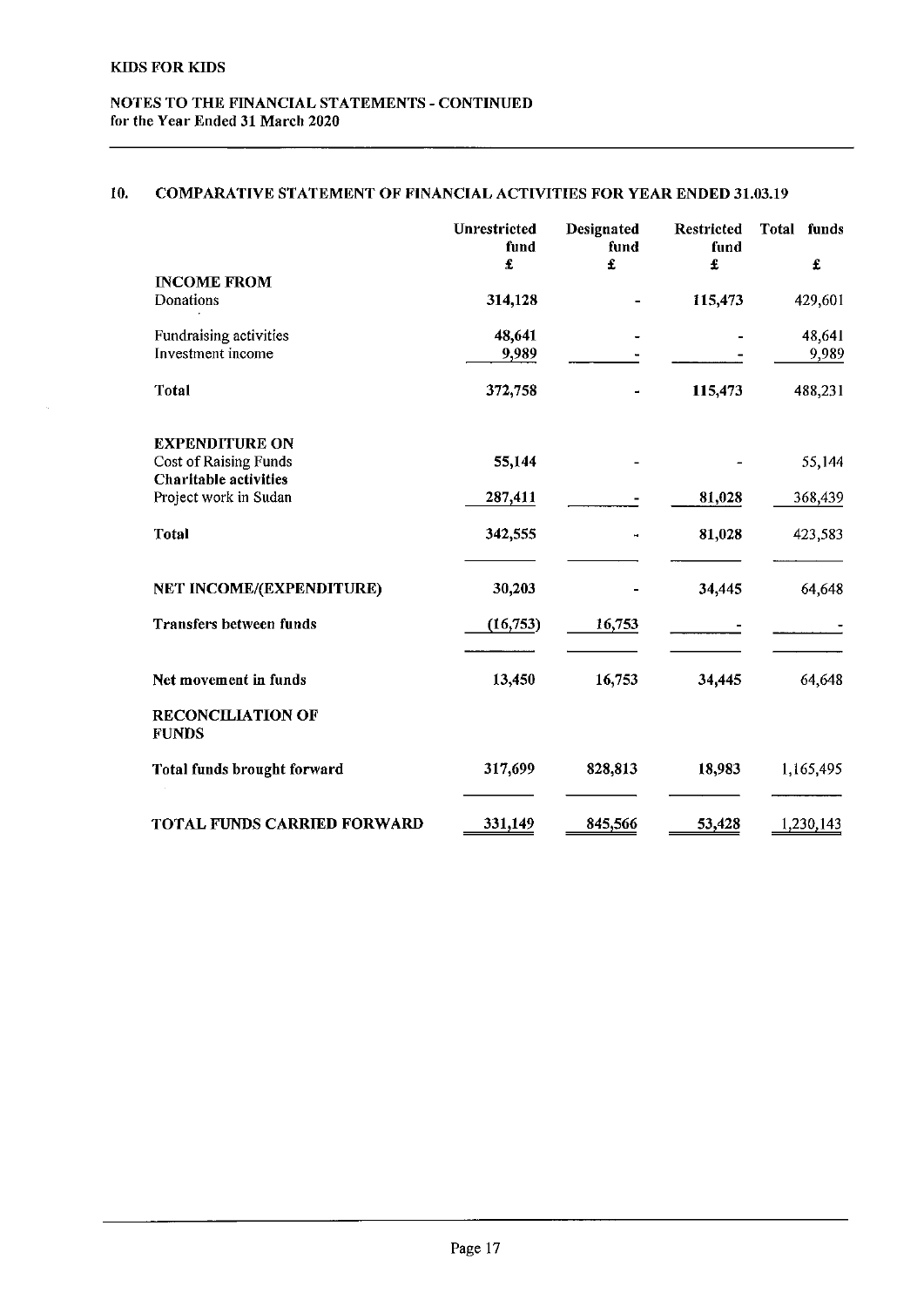$\bar{z}$ 

# NOTES TO THE FINANCIAL STATEMENTS - CONTINUED for the Year Ended 31 March 2020

# 10. COMPARATIVE STATEMENT OF FINANCIAL ACTIVITIES FOR YEAR ENDED 31.03.19

|                                                                                       | Unrestricted<br>fund<br>£ | Designated<br>fund<br>£ | <b>Restricted</b><br>fund<br>£ | <b>Total</b><br>funds<br>£ |
|---------------------------------------------------------------------------------------|---------------------------|-------------------------|--------------------------------|----------------------------|
| <b>INCOME FROM</b><br>Donations                                                       | 314,128                   |                         | 115,473                        | 429,601                    |
| Fundraising activities<br>Investment income                                           | 48,641                    |                         |                                | 48,641                     |
| Total                                                                                 | 9,989<br>372,758          |                         | 115,473                        | 9,989<br>488,231           |
|                                                                                       |                           |                         |                                |                            |
| <b>EXPENDITURE ON</b><br><b>Cost of Raising Funds</b><br><b>Charitable activities</b> | 55,144                    |                         |                                | 55,144                     |
| Project work in Sudan                                                                 | 287,411                   |                         | 81,028                         | 368,439                    |
| <b>Total</b>                                                                          | 342,555                   |                         | 81,028                         | 423,583                    |
| NET INCOME/(EXPENDITURE)                                                              | 30,203                    |                         | 34,445                         | 64,648                     |
| <b>Transfers between funds</b>                                                        | (16, 753)                 | 16,753                  |                                |                            |
| Net movement in funds                                                                 | 13,450                    | 16,753                  | 34,445                         | 64,648                     |
| <b>RECONCILIATION OF</b><br><b>FUNDS</b>                                              |                           |                         |                                |                            |
| <b>Total funds brought forward</b>                                                    | 317,699                   | 828,813                 | 18,983                         | 1,165,495                  |
| <b>TOTAL FUNDS CARRIED FORWARD</b>                                                    | 331,149                   | 845,566                 | 53,428                         | 1,230,143                  |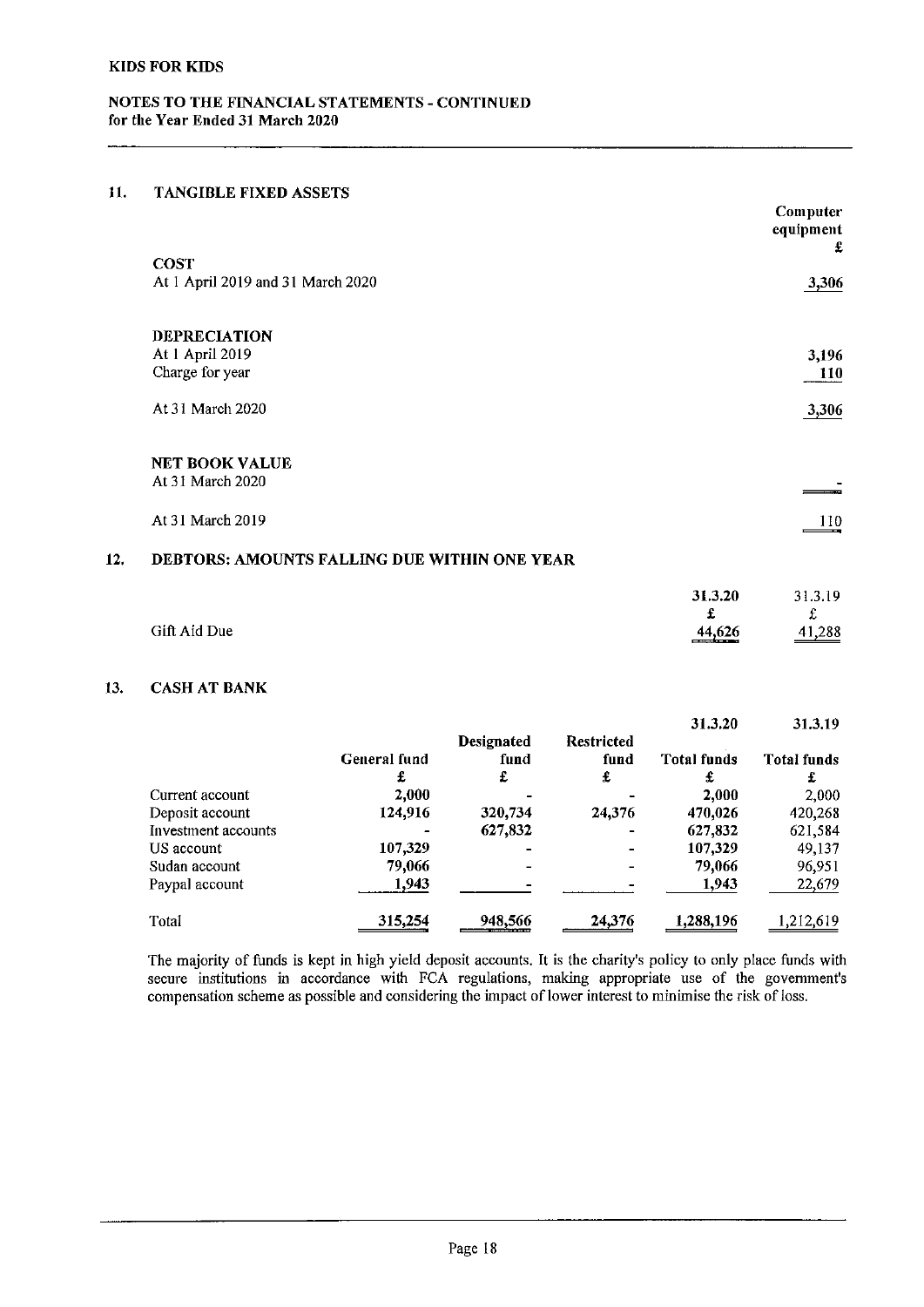## 11. TANGIBLE FIXED ASSETS

|     |                                              | Computer<br>equipment<br>£ |
|-----|----------------------------------------------|----------------------------|
|     | <b>COST</b>                                  |                            |
|     | At 1 April 2019 and 31 March 2020            | 3,306                      |
|     | <b>DEPRECIATION</b>                          |                            |
|     | At 1 April 2019                              | 3,196                      |
|     | Charge for year                              | 110                        |
|     | At 31 March 2020                             | 3,306                      |
|     | <b>NET BOOK VALUE</b>                        |                            |
|     | At 31 March 2020                             |                            |
|     | At 31 March 2019                             | 110                        |
| 12. | DEBTORS: AMOUNTS FALLING DUE WITHIN ONE YEAR |                            |

|              | 31.3.20           | 31.3.19            |
|--------------|-------------------|--------------------|
|              |                   | $\mathbf{f}$       |
| Gift Aid Due | 44,626<br>_______ | $\frac{41,288}{2}$ |

# 13. CASH AT BANK

|                     |              |                   |                   | 31.3.20            | 31.3.19            |
|---------------------|--------------|-------------------|-------------------|--------------------|--------------------|
|                     |              | <b>Designated</b> | <b>Restricted</b> |                    |                    |
|                     | General fund | fund              | fund              | <b>Total funds</b> | <b>Total funds</b> |
|                     | £            | £                 | £                 | £                  | £                  |
| Current account     | 2.000        |                   |                   | 2,000              | 2,000              |
| Deposit account     | 124.916      | 320,734           | 24,376            | 470,026            | 420,268            |
| Investment accounts |              | 627,832           | $\blacksquare$    | 627,832            | 621,584            |
| US account          | 107,329      |                   |                   | 107,329            | 49,137             |
| Sudan account       | 79,066       |                   |                   | 79.066             | 96,951             |
| Paypal account      | 1,943        |                   |                   | 1,943              | 22,679             |
| Total               | 315,254      | 948,566           | 24,376            | 1.288,196          | ,212,619           |

The majority of funds is kept in high yield deposit accounts. It is the charity's policy to only place funds with secure institutions in accordance with FCA regulations, making appropriate use of the governmen compensation scheme as possible and considering the impact of lower interest to minimise the risk of loss,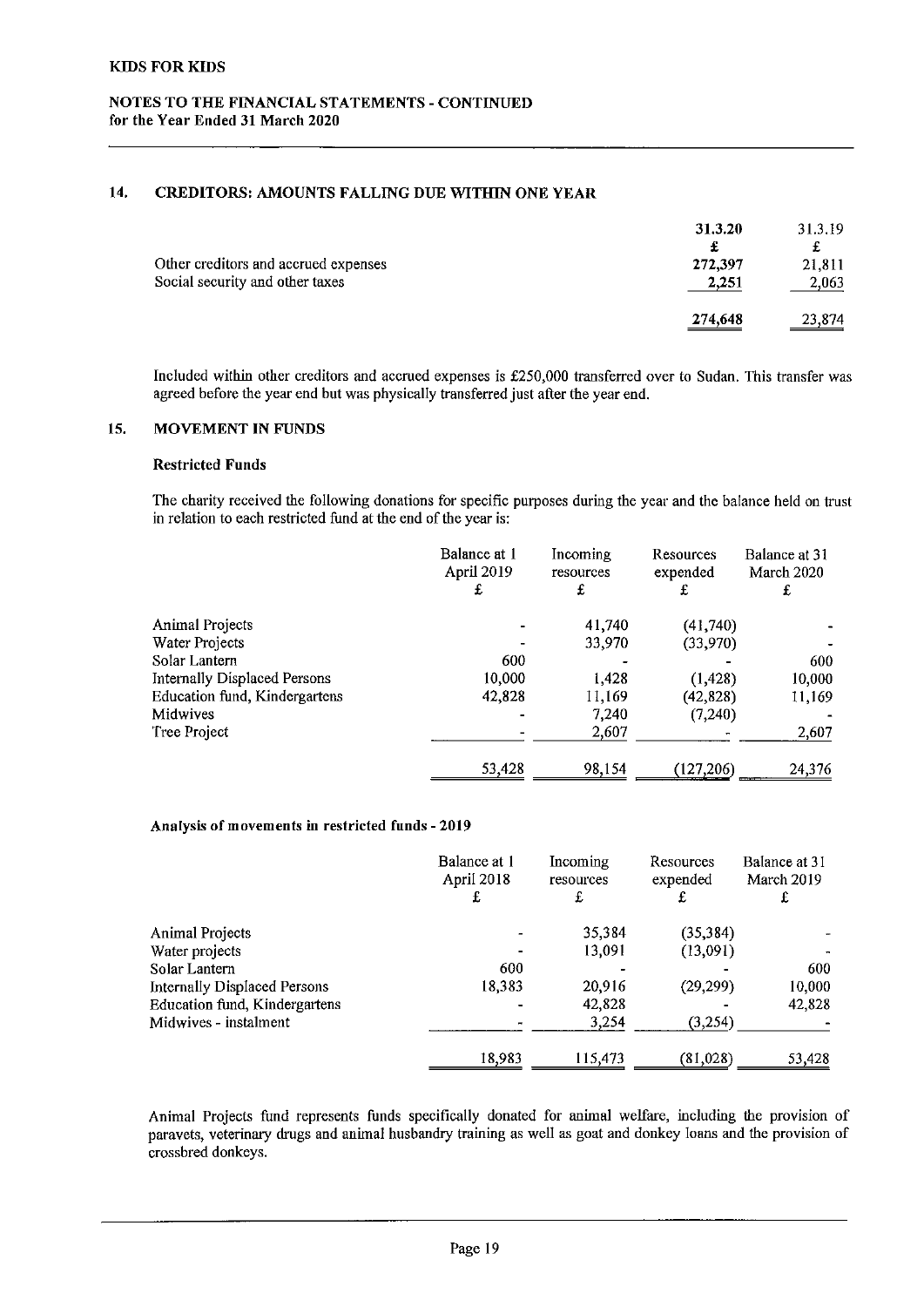# 14. CREDITORS; AMOUNTS FALLING DUK WITHIN ONE YEAR

|                                      | 31.3.20 | 31.3.19            |
|--------------------------------------|---------|--------------------|
|                                      | £       | t                  |
| Other creditors and accrued expenses | 272,397 | 21.811             |
| Social security and other taxes      | 2.251   | 2,063              |
|                                      | 274,648 | $\frac{23,874}{2}$ |

Included within other creditors and accrued expenses is f250,000 transferred over to Sudan. This transfer was agreed before the year end but was physically transferred just atter the year end.

### 15. MOVEMENT IN FUNDS

### Restricted Funds

The charity received the following donations for specific purposes during the year and the balance held on trust in relation to each restricted fund at the end of the year is:

|                               | Balance at 1<br>April 2019 | Incoming<br>resources | Resources<br>expended | Balance at 31<br>March 2020 |
|-------------------------------|----------------------------|-----------------------|-----------------------|-----------------------------|
|                               | £                          | £                     | £                     | £                           |
| <b>Animal Projects</b>        |                            | 41,740                | (41,740)              |                             |
| Water Projects                |                            | 33,970                | (33,970)              |                             |
| Solar Lantern                 | 600                        |                       |                       | 600                         |
| Internally Displaced Persons  | 10,000                     | 1.428                 | (1, 428)              | 10,000                      |
| Education fund, Kindergartens | 42,828                     | 11.169                | (42, 828)             | 11,169                      |
| Midwives                      |                            | 7,240                 | (7,240)               |                             |
| Tree Project                  |                            | 2,607                 |                       | 2,607                       |
|                               | 53,428                     | 98,154                | (127, 206)            | 24,376<br>$-$               |

### Analysis of movements in restricted funds - 2019

|                                      | Balance at 1<br>April 2018<br>£ | Incoming<br>resources<br>£ | Resources<br>expended<br>£ | Balance at 31<br>March 2019<br>£ |
|--------------------------------------|---------------------------------|----------------------------|----------------------------|----------------------------------|
| Animal Projects                      |                                 | 35,384                     | (35, 384)                  |                                  |
| Water projects                       |                                 | 13,091                     | (13,091)                   |                                  |
| Solar Lantern                        | 600                             |                            |                            | 600                              |
| Internally Displaced Persons         | 18,383                          | 20,916                     | (29, 299)                  | 10,000                           |
| <b>Education fund, Kindergartens</b> |                                 | 42,828                     |                            | 42,828                           |
| Midwives - instalment                |                                 | 3.254                      | (3,254)                    |                                  |
|                                      | 18,983                          | 115,473                    | (81,028)                   | 53,428                           |

Animal Projects fund represents funds specifically donated for animal welfare, including the provision of paravets, veterinary drugs and animal husbandry training as well as goat and donkey loans and the provision of crossbred donkeys.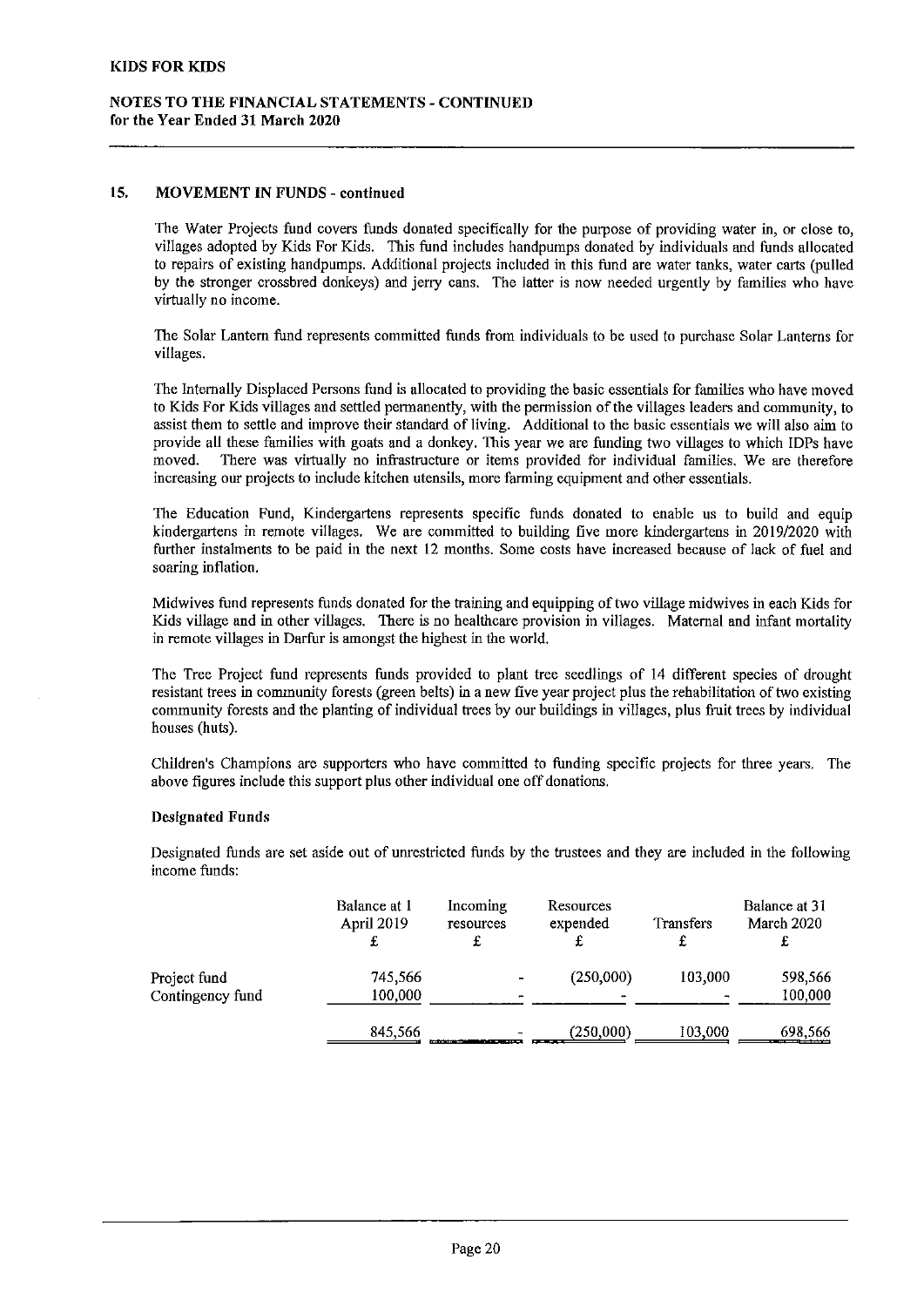### 15. MOVEMENT IN FUNDS - continued

The Water Projects fund covers funds donated specifically for the purpose of providing water in, or close to, villages adopted by Kids For Kids. This fund includes handpumps donated by individuals and funds allocated to repairs of existing handpumps. Additional projects included in this fund are water tanks, water carts (pulled by the stronger crossbred donkeys) and jerry cans. The latter is now needed urgently by families who have virtually no income.

Ibe Solar Lantern fund represents committed funds from individuals to be used to purchase Solar Lanterns for villages.

The Internally Displaced Persons fund is allocated to providing the basic essentials for families who have moved to Kids For Kids villages and settled permanently, with the permission of the villages leaders and community, to assist them to settle and improve their standard of living. Additional to the basic essentials we will also aim to provide all these families with goats and a donkey. This year we are funding two villages to which IDPs have moved. There was virtually no infrastructure or items provided for individual families. We are therefore There was virtually no infrastructure or items provided for individual families. We are therefore increasing our projects to include kitchen utensils, more farming equipment and other essentials.

The Education Fund, Kindergartens represents specific funds donated to enable us to build and equip kindergartens in remote villages. We are committed to building five more kindergartens in 2019/2020 with further instalments to be paid in the next 12 months. Some costs have increased because of lack of fuel and soaring inflation.

Midwives fund represents funds donated for the training and equipping oftwo village midwives in each Kids for Kids village and in other villages. There is no healthcare provision in villages. Maternal and infant mortality in remote viHages in Darfur is amongst the highest in the world.

The Tree Project fund represents funds provided to plant tree seedlings of 14 different species of drought resistant trees in community forests (green belts) in a new five year project plus the rehabilitation of two existing community forests and the planting of individual trees by our buildings in villages, plus fiuit trees by individual houses (huts).

Children's Champions are supporters who have committed to funding specific projects for three years. The above figures include this support plus other individual one off donations.

#### Designated Funds

Designated funds are set aside out of unrestricted funds by the trustees and they are mcluded in the fofiowing income funds:

|                  | Balance at 1<br>April 2019<br>£ | Incoming<br>resources | Resources<br>expended | <b>Transfers</b> | Balance at 31<br>March 2020 |
|------------------|---------------------------------|-----------------------|-----------------------|------------------|-----------------------------|
| Project fund     | 745,566                         |                       | (250,000)             | 103,000          | 598,566                     |
| Contingency fund | 100,000                         | ۰                     |                       |                  | 100,000                     |
|                  | 845,566                         | -                     | (250,000)             | 103,000          | 698,566                     |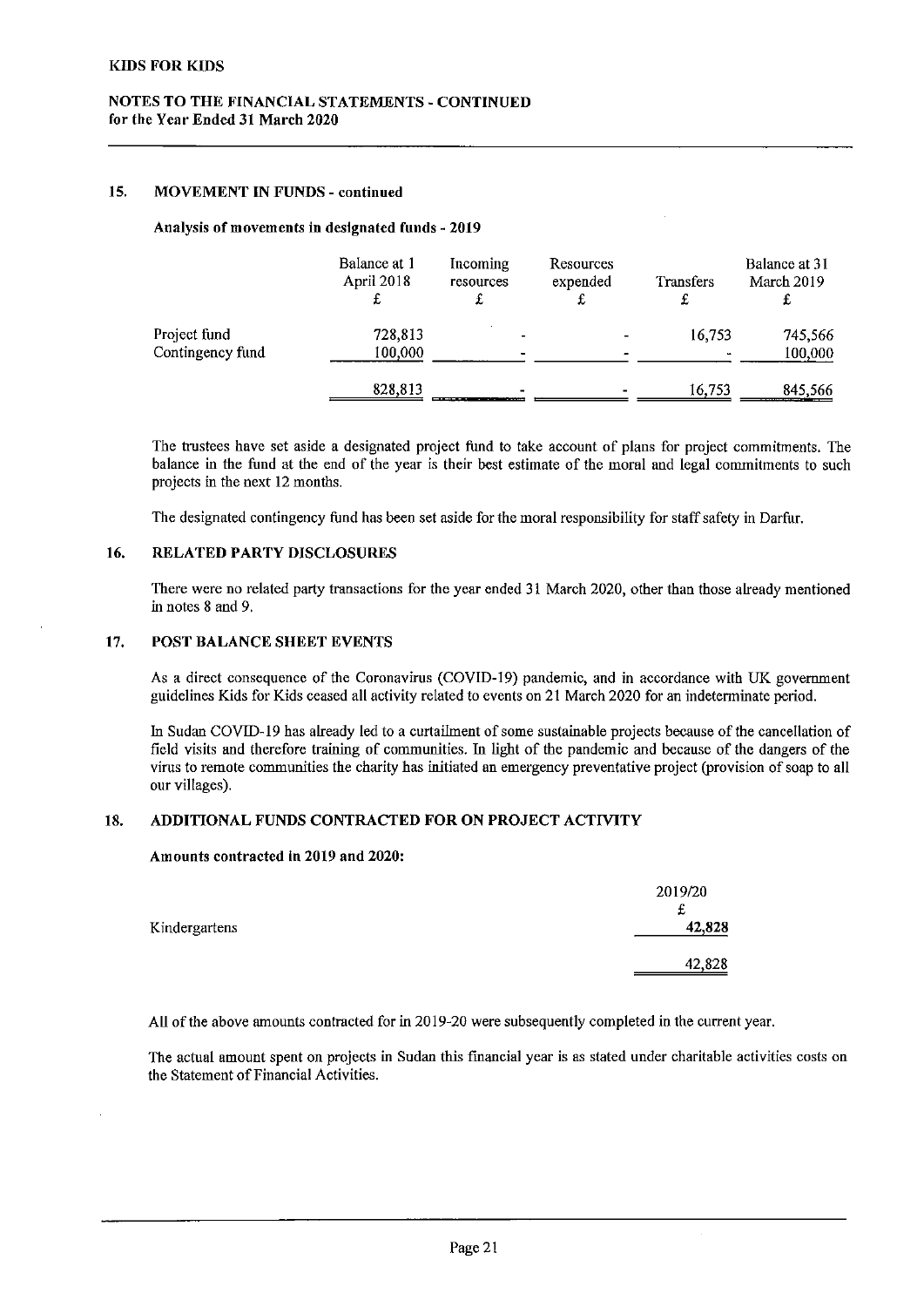## 15. MOVEMENT IN FUNDS - continued

#### Analysis of movements in designated funds - 2019

|                  | Balance at 1<br>April 2018 | Incoming<br>resources | Resources<br>expended | <b>Transfers</b> | Balance at 31<br>March 2019<br>ı |
|------------------|----------------------------|-----------------------|-----------------------|------------------|----------------------------------|
| Project fund     | 728,813                    |                       |                       | 16,753           | 745,566                          |
| Contingency fund | 100,000                    |                       |                       |                  | 100,000                          |
|                  | 828,813                    | ______<br>----<br>.   |                       | 16.753           | 845,566                          |

The trustees have set aside a designated project fund to take account of plans for project commitments. The balance in the fund at the end of the year is their best estimate of the moral and legal commitments to such projects in the next 12 months.

The designated contingency fund has been set aside for the moral responsibility for staff safety in Darfur.

## 16. RELATED PARTY DISCLOSURES

There were no related party transactions for the year ended 31 March 2020, other than those already mentioned in notes 8 and 9.

## 17. POST BALANCE SHEET EVENTS

As <sup>a</sup> direct consequence of the Coronavirus (COVID-19) pandemic, and in accordance with UK government guidelines Kids for Kids ceased all activity related to events on 21 March 2020 for an indeterminate period.

In Sudan COVlD-19 has already led to a curtailment of some sustainable projects because of the cancellation of field visits and therefore training of communities. In light of the pandemic and because of the dangers of the virus to remote communities the charity has initiated an emergency preventative project (provision ofsoap to all our villages).

## 18. ADDITIONAL FUNDS CONTRACTED FOR ON PROJECT ACTIVITY

## Amounts contracted in 2019 and 2020:

|               | 2019/20<br>t |
|---------------|--------------|
| Kindergartens | 42,828       |
|               | 42,828       |

All of the above amounts contracted for in 2019-20 were subsequently completed in the current year.

The actual amount spent on projects in Sudan this financial year is as stated under charitable activities costs on the Statement of Financial Activities.